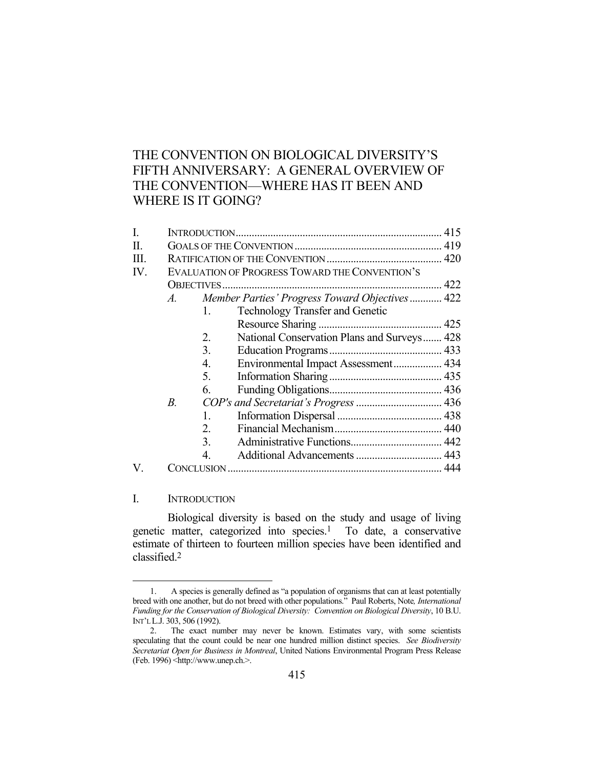# THE CONVENTION ON BIOLOGICAL DIVERSITY'S FIFTH ANNIVERSARY: A GENERAL OVERVIEW OF THE CONVENTION—WHERE HAS IT BEEN AND WHERE IS IT GOING?

| $A$ .       |                                             |                                                                                                                                           |
|-------------|---------------------------------------------|-------------------------------------------------------------------------------------------------------------------------------------------|
| 1.          | <b>Technology Transfer and Genetic</b>      |                                                                                                                                           |
|             |                                             |                                                                                                                                           |
| 2.          | National Conservation Plans and Surveys 428 |                                                                                                                                           |
| 3.          |                                             |                                                                                                                                           |
| 4.          | Environmental Impact Assessment 434         |                                                                                                                                           |
| 5.          |                                             |                                                                                                                                           |
| 6.          |                                             |                                                                                                                                           |
| $B_{\cdot}$ |                                             |                                                                                                                                           |
| 1.          |                                             |                                                                                                                                           |
| 2.          |                                             |                                                                                                                                           |
| 3.          |                                             |                                                                                                                                           |
| 4.          |                                             |                                                                                                                                           |
|             |                                             |                                                                                                                                           |
|             |                                             | EVALUATION OF PROGRESS TOWARD THE CONVENTION'S<br>Member Parties' Progress Toward Objectives 422<br>COP's and Secretariat's Progress  436 |

# I. INTRODUCTION

<u>.</u>

 Biological diversity is based on the study and usage of living genetic matter, categorized into species.1 To date, a conservative estimate of thirteen to fourteen million species have been identified and classified.2

 <sup>1.</sup> A species is generally defined as "a population of organisms that can at least potentially breed with one another, but do not breed with other populations." Paul Roberts, Note*, International Funding for the Conservation of Biological Diversity: Convention on Biological Diversity*, 10 B.U. INT'L L.J. 303, 506 (1992).

 <sup>2.</sup> The exact number may never be known. Estimates vary, with some scientists speculating that the count could be near one hundred million distinct species. *See Biodiversity Secretariat Open for Business in Montreal*, United Nations Environmental Program Press Release (Feb. 1996) <http://www.unep.ch.>.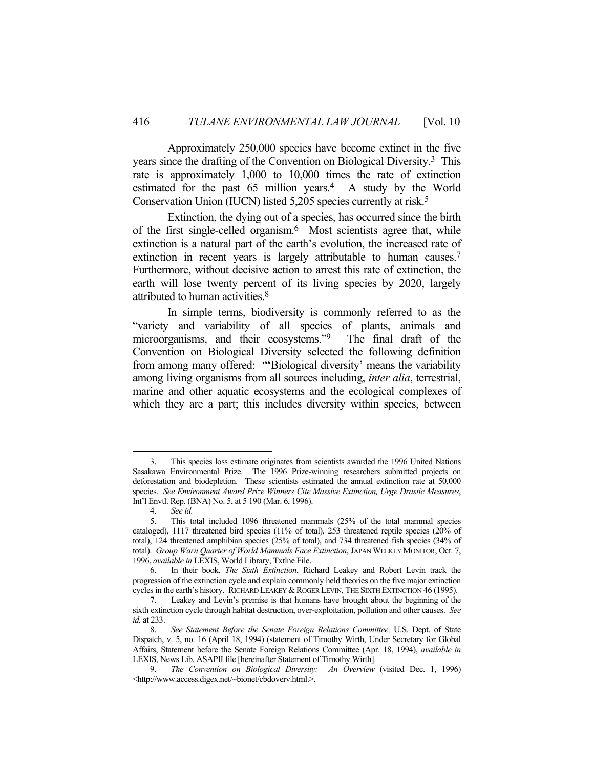Approximately 250,000 species have become extinct in the five years since the drafting of the Convention on Biological Diversity.3 This rate is approximately 1,000 to 10,000 times the rate of extinction estimated for the past  $65$  million years.<sup>4</sup> A study by the World Conservation Union (IUCN) listed 5,205 species currently at risk.5

 Extinction, the dying out of a species, has occurred since the birth of the first single-celled organism.6 Most scientists agree that, while extinction is a natural part of the earth's evolution, the increased rate of extinction in recent years is largely attributable to human causes.<sup>7</sup> Furthermore, without decisive action to arrest this rate of extinction, the earth will lose twenty percent of its living species by 2020, largely attributed to human activities.8

 In simple terms, biodiversity is commonly referred to as the "variety and variability of all species of plants, animals and microorganisms, and their ecosystems."9 The final draft of the Convention on Biological Diversity selected the following definition from among many offered: "'Biological diversity' means the variability among living organisms from all sources including, *inter alia*, terrestrial, marine and other aquatic ecosystems and the ecological complexes of which they are a part; this includes diversity within species, between

 <sup>3.</sup> This species loss estimate originates from scientists awarded the 1996 United Nations Sasakawa Environmental Prize. The 1996 Prize-winning researchers submitted projects on deforestation and biodepletion. These scientists estimated the annual extinction rate at 50,000 species. *See Environment Award Prize Winners Cite Massive Extinction, Urge Drastic Measures*, Int'l Envtl. Rep. (BNA) No. 5, at 5 190 (Mar. 6, 1996).

 <sup>4.</sup> *See id.*

 <sup>5.</sup> This total included 1096 threatened mammals (25% of the total mammal species cataloged), 1117 threatened bird species (11% of total), 253 threatened reptile species (20% of total), 124 threatened amphibian species (25% of total), and 734 threatened fish species (34% of total). *Group Warn Quarter of World Mammals Face Extinction*, JAPAN WEEKLY MONITOR, Oct. 7, 1996, *available in* LEXIS, World Library, Txtlne File.

 <sup>6.</sup> In their book, *The Sixth Extinction*, Richard Leakey and Robert Levin track the progression of the extinction cycle and explain commonly held theories on the five major extinction cycles in the earth's history. RICHARD LEAKEY & ROGER LEVIN, THE SIXTH EXTINCTION 46 (1995).

 <sup>7.</sup> Leakey and Levin's premise is that humans have brought about the beginning of the sixth extinction cycle through habitat destruction, over-exploitation, pollution and other causes. *See id.* at 233.

 <sup>8.</sup> *See Statement Before the Senate Foreign Relations Committee,* U.S. Dept. of State Dispatch, v. 5, no. 16 (April 18, 1994) (statement of Timothy Wirth, Under Secretary for Global Affairs, Statement before the Senate Foreign Relations Committee (Apr. 18, 1994), *available in* LEXIS, News Lib. ASAPII file [hereinafter Statement of Timothy Wirth].

 <sup>9.</sup> *The Convention on Biological Diversity: An Overview* (visited Dec. 1, 1996) <http://www.access.digex.net/~bionet/cbdoverv.html.>.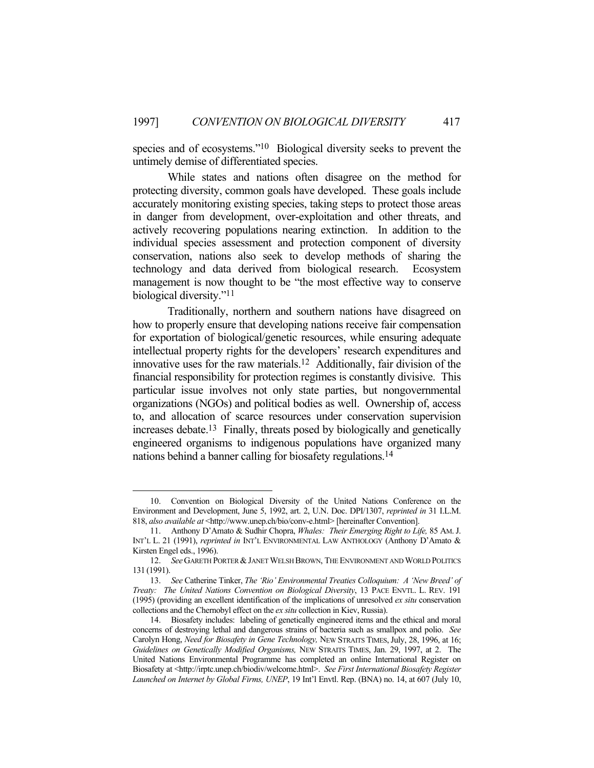species and of ecosystems."10 Biological diversity seeks to prevent the untimely demise of differentiated species.

 While states and nations often disagree on the method for protecting diversity, common goals have developed. These goals include accurately monitoring existing species, taking steps to protect those areas in danger from development, over-exploitation and other threats, and actively recovering populations nearing extinction. In addition to the individual species assessment and protection component of diversity conservation, nations also seek to develop methods of sharing the technology and data derived from biological research. Ecosystem management is now thought to be "the most effective way to conserve biological diversity."11

 Traditionally, northern and southern nations have disagreed on how to properly ensure that developing nations receive fair compensation for exportation of biological/genetic resources, while ensuring adequate intellectual property rights for the developers' research expenditures and innovative uses for the raw materials.12 Additionally, fair division of the financial responsibility for protection regimes is constantly divisive. This particular issue involves not only state parties, but nongovernmental organizations (NGOs) and political bodies as well. Ownership of, access to, and allocation of scarce resources under conservation supervision increases debate.13 Finally, threats posed by biologically and genetically engineered organisms to indigenous populations have organized many nations behind a banner calling for biosafety regulations.14

 <sup>10.</sup> Convention on Biological Diversity of the United Nations Conference on the Environment and Development, June 5, 1992, art. 2, U.N. Doc. DPI/1307, *reprinted in* 31 I.L.M. 818, *also available at* <http://www.unep.ch/bio/conv-e.html> [hereinafter Convention].

 <sup>11.</sup> Anthony D'Amato & Sudhir Chopra, *Whales: Their Emerging Right to Life,* 85 AM.J. INT'L L. 21 (1991), *reprinted in* INT'L ENVIRONMENTAL LAW ANTHOLOGY (Anthony D'Amato & Kirsten Engel eds., 1996).

<sup>12.</sup> *See* GARETH PORTER & JANET WELSH BROWN, THE ENVIRONMENT AND WORLD POLITICS 131 (1991).

 <sup>13.</sup> *See* Catherine Tinker, *The 'Rio' Environmental Treaties Colloquium: A 'New Breed' of Treaty: The United Nations Convention on Biological Diversity*, 13 PACE ENVTL. L. REV. 191 (1995) (providing an excellent identification of the implications of unresolved *ex situ* conservation collections and the Chernobyl effect on the *ex situ* collection in Kiev, Russia).

 <sup>14.</sup> Biosafety includes: labeling of genetically engineered items and the ethical and moral concerns of destroying lethal and dangerous strains of bacteria such as smallpox and polio. *See*  Carolyn Hong, *Need for Biosafety in Gene Technology,* NEW STRAITS TIMES,July, 28, 1996, at 16; *Guidelines on Genetically Modified Organisms,* NEW STRAITS TIMES, Jan. 29, 1997, at 2. The United Nations Environmental Programme has completed an online International Register on Biosafety at <http://irptc.unep.ch/biodiv/welcome.html>. *See First International Biosafety Register Launched on Internet by Global Firms, UNEP*, 19 Int'l Envtl. Rep. (BNA) no. 14, at 607 (July 10,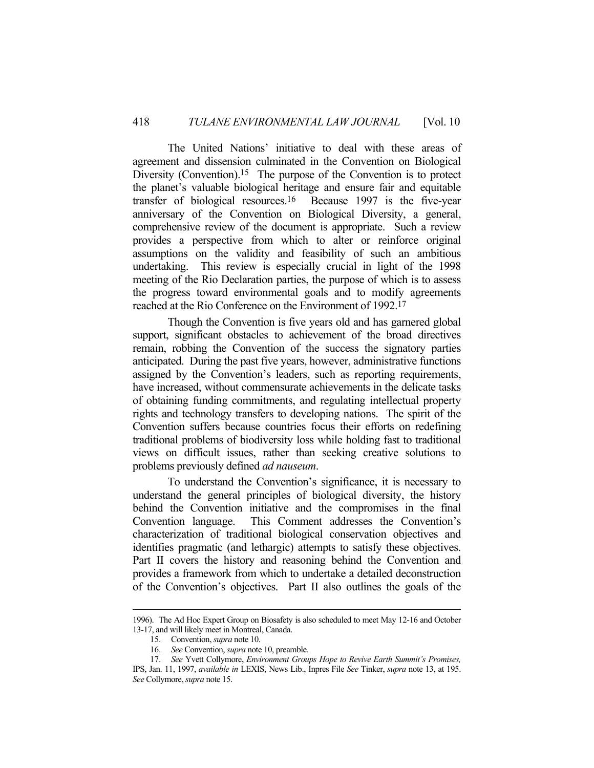The United Nations' initiative to deal with these areas of agreement and dissension culminated in the Convention on Biological Diversity (Convention).<sup>15</sup> The purpose of the Convention is to protect the planet's valuable biological heritage and ensure fair and equitable transfer of biological resources.16 Because 1997 is the five-year anniversary of the Convention on Biological Diversity, a general, comprehensive review of the document is appropriate. Such a review provides a perspective from which to alter or reinforce original assumptions on the validity and feasibility of such an ambitious undertaking. This review is especially crucial in light of the 1998 meeting of the Rio Declaration parties, the purpose of which is to assess the progress toward environmental goals and to modify agreements reached at the Rio Conference on the Environment of 1992.17

 Though the Convention is five years old and has garnered global support, significant obstacles to achievement of the broad directives remain, robbing the Convention of the success the signatory parties anticipated. During the past five years, however, administrative functions assigned by the Convention's leaders, such as reporting requirements, have increased, without commensurate achievements in the delicate tasks of obtaining funding commitments, and regulating intellectual property rights and technology transfers to developing nations. The spirit of the Convention suffers because countries focus their efforts on redefining traditional problems of biodiversity loss while holding fast to traditional views on difficult issues, rather than seeking creative solutions to problems previously defined *ad nauseum*.

 To understand the Convention's significance, it is necessary to understand the general principles of biological diversity, the history behind the Convention initiative and the compromises in the final Convention language. This Comment addresses the Convention's characterization of traditional biological conservation objectives and identifies pragmatic (and lethargic) attempts to satisfy these objectives. Part II covers the history and reasoning behind the Convention and provides a framework from which to undertake a detailed deconstruction of the Convention's objectives. Part II also outlines the goals of the

 <sup>1996).</sup> The Ad Hoc Expert Group on Biosafety is also scheduled to meet May 12-16 and October 13-17, and will likely meet in Montreal, Canada.

 <sup>15.</sup> Convention, *supra* note 10.

 <sup>16.</sup> *See* Convention, *supra* note 10, preamble.

 <sup>17.</sup> *See* Yvett Collymore, *Environment Groups Hope to Revive Earth Summit's Promises,*  IPS, Jan. 11, 1997, *available in* LEXIS, News Lib., Inpres File *See* Tinker, *supra* note 13, at 195. *See* Collymore, *supra* note 15.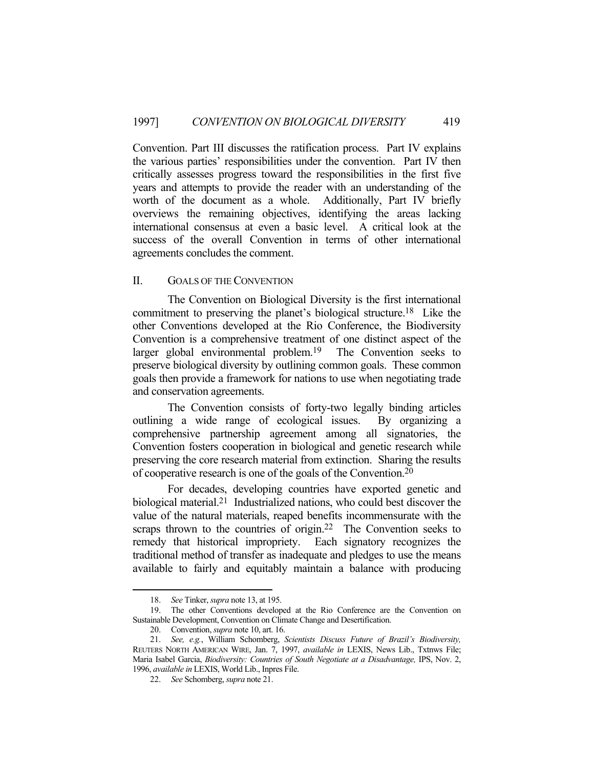Convention. Part III discusses the ratification process. Part IV explains the various parties' responsibilities under the convention. Part IV then critically assesses progress toward the responsibilities in the first five years and attempts to provide the reader with an understanding of the worth of the document as a whole. Additionally, Part IV briefly overviews the remaining objectives, identifying the areas lacking international consensus at even a basic level. A critical look at the success of the overall Convention in terms of other international agreements concludes the comment.

#### II. GOALS OF THE CONVENTION

 The Convention on Biological Diversity is the first international commitment to preserving the planet's biological structure.18 Like the other Conventions developed at the Rio Conference, the Biodiversity Convention is a comprehensive treatment of one distinct aspect of the larger global environmental problem.<sup>19</sup> The Convention seeks to preserve biological diversity by outlining common goals. These common goals then provide a framework for nations to use when negotiating trade and conservation agreements.

 The Convention consists of forty-two legally binding articles outlining a wide range of ecological issues. By organizing a comprehensive partnership agreement among all signatories, the Convention fosters cooperation in biological and genetic research while preserving the core research material from extinction. Sharing the results of cooperative research is one of the goals of the Convention.20

 For decades, developing countries have exported genetic and biological material.21 Industrialized nations, who could best discover the value of the natural materials, reaped benefits incommensurate with the scraps thrown to the countries of origin.<sup>22</sup> The Convention seeks to remedy that historical impropriety. Each signatory recognizes the traditional method of transfer as inadequate and pledges to use the means available to fairly and equitably maintain a balance with producing

 <sup>18.</sup> *See* Tinker, *supra* note 13, at 195.

 <sup>19.</sup> The other Conventions developed at the Rio Conference are the Convention on Sustainable Development, Convention on Climate Change and Desertification.

 <sup>20.</sup> Convention, *supra* note 10, art. 16.

 <sup>21.</sup> *See, e.g.*, William Schomberg, *Scientists Discuss Future of Brazil's Biodiversity,*  REUTERS NORTH AMERICAN WIRE, Jan. 7, 1997, *available in* LEXIS, News Lib., Txtnws File; Maria Isabel Garcia, *Biodiversity: Countries of South Negotiate at a Disadvantage,* IPS, Nov. 2, 1996, *available in* LEXIS, World Lib., Inpres File.

 <sup>22.</sup> *See* Schomberg, *supra* note 21.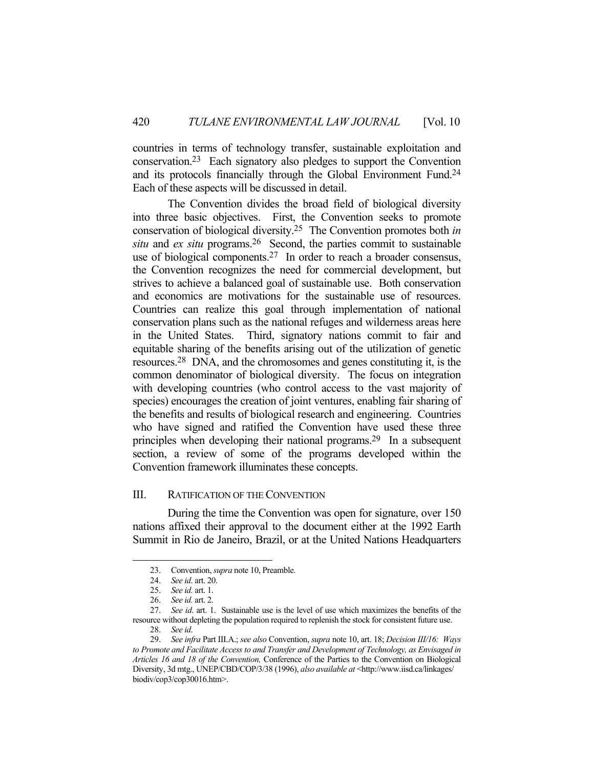countries in terms of technology transfer, sustainable exploitation and conservation.23 Each signatory also pledges to support the Convention and its protocols financially through the Global Environment Fund.24 Each of these aspects will be discussed in detail.

 The Convention divides the broad field of biological diversity into three basic objectives. First, the Convention seeks to promote conservation of biological diversity.25 The Convention promotes both *in situ* and *ex situ* programs.26 Second, the parties commit to sustainable use of biological components.27 In order to reach a broader consensus, the Convention recognizes the need for commercial development, but strives to achieve a balanced goal of sustainable use. Both conservation and economics are motivations for the sustainable use of resources. Countries can realize this goal through implementation of national conservation plans such as the national refuges and wilderness areas here in the United States. Third, signatory nations commit to fair and equitable sharing of the benefits arising out of the utilization of genetic resources.28 DNA, and the chromosomes and genes constituting it, is the common denominator of biological diversity. The focus on integration with developing countries (who control access to the vast majority of species) encourages the creation of joint ventures, enabling fair sharing of the benefits and results of biological research and engineering. Countries who have signed and ratified the Convention have used these three principles when developing their national programs.29 In a subsequent section, a review of some of the programs developed within the Convention framework illuminates these concepts.

#### III. RATIFICATION OF THE CONVENTION

 During the time the Convention was open for signature, over 150 nations affixed their approval to the document either at the 1992 Earth Summit in Rio de Janeiro, Brazil, or at the United Nations Headquarters

 <sup>23.</sup> Convention, *supra* note 10, Preamble.

 <sup>24.</sup> *See id*. art. 20.

 <sup>25.</sup> *See id.* art. 1.

 <sup>26.</sup> *See id.* art. 2.

 <sup>27.</sup> *See id*. art. 1. Sustainable use is the level of use which maximizes the benefits of the resource without depleting the population required to replenish the stock for consistent future use.

 <sup>28.</sup> *See id*.

 <sup>29.</sup> *See infra* Part III.A.; *see also* Convention, *supra* note 10, art. 18; *Decision III/16: Ways to Promote and Facilitate Access to and Transfer and Development of Technology, as Envisaged in Articles 16 and 18 of the Convention,* Conference of the Parties to the Convention on Biological Diversity, 3d mtg., UNEP/CBD/COP/3/38 (1996), *also available at* <http://www.iisd.ca/linkages/ biodiv/cop3/cop30016.htm>.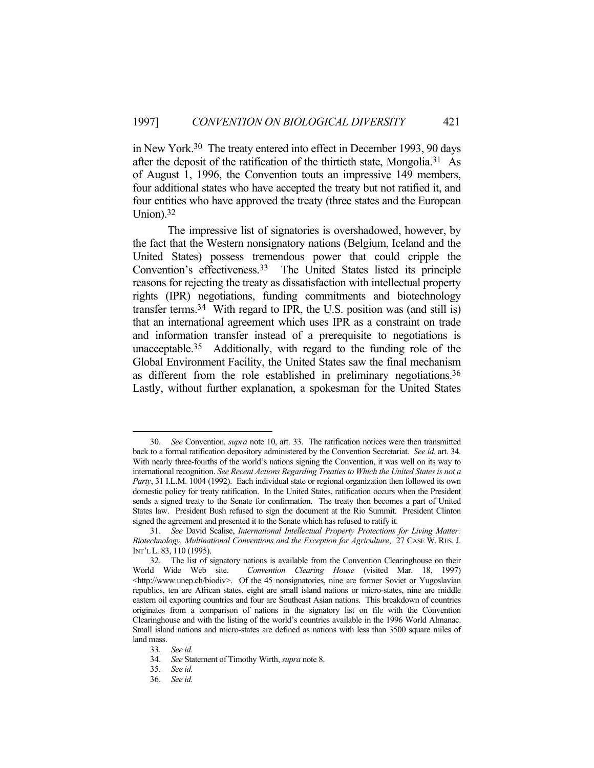in New York.30 The treaty entered into effect in December 1993, 90 days after the deposit of the ratification of the thirtieth state, Mongolia.31 As of August 1, 1996, the Convention touts an impressive 149 members, four additional states who have accepted the treaty but not ratified it, and four entities who have approved the treaty (three states and the European Union).32

 The impressive list of signatories is overshadowed, however, by the fact that the Western nonsignatory nations (Belgium, Iceland and the United States) possess tremendous power that could cripple the Convention's effectiveness.33 The United States listed its principle reasons for rejecting the treaty as dissatisfaction with intellectual property rights (IPR) negotiations, funding commitments and biotechnology transfer terms.34 With regard to IPR, the U.S. position was (and still is) that an international agreement which uses IPR as a constraint on trade and information transfer instead of a prerequisite to negotiations is unacceptable.35 Additionally, with regard to the funding role of the Global Environment Facility, the United States saw the final mechanism as different from the role established in preliminary negotiations.36 Lastly, without further explanation, a spokesman for the United States

 <sup>30.</sup> *See* Convention, *supra* note 10, art. 33. The ratification notices were then transmitted back to a formal ratification depository administered by the Convention Secretariat. *See id.* art. 34. With nearly three-fourths of the world's nations signing the Convention, it was well on its way to international recognition. *See Recent Actions Regarding Treaties to Which the United States is not a Party*, 31 I.L.M. 1004 (1992). Each individual state or regional organization then followed its own domestic policy for treaty ratification. In the United States, ratification occurs when the President sends a signed treaty to the Senate for confirmation. The treaty then becomes a part of United States law. President Bush refused to sign the document at the Rio Summit. President Clinton signed the agreement and presented it to the Senate which has refused to ratify it.

 <sup>31.</sup> *See* David Scalise, *International Intellectual Property Protections for Living Matter: Biotechnology, Multinational Conventions and the Exception for Agriculture*, 27 CASE W. RES. J. INT'L L. 83, 110 (1995).

 <sup>32.</sup> The list of signatory nations is available from the Convention Clearinghouse on their World Wide Web site. *Convention Clearing House* (visited Mar. 18, 1997) <http://www.unep.ch/biodiv>. Of the 45 nonsignatories, nine are former Soviet or Yugoslavian republics, ten are African states, eight are small island nations or micro-states, nine are middle eastern oil exporting countries and four are Southeast Asian nations. This breakdown of countries originates from a comparison of nations in the signatory list on file with the Convention Clearinghouse and with the listing of the world's countries available in the 1996 World Almanac. Small island nations and micro-states are defined as nations with less than 3500 square miles of land mass.

 <sup>33.</sup> *See id.*

 <sup>34.</sup> *See* Statement of Timothy Wirth, *supra* note 8.

 <sup>35.</sup> *See id.*

 <sup>36.</sup> *See id.*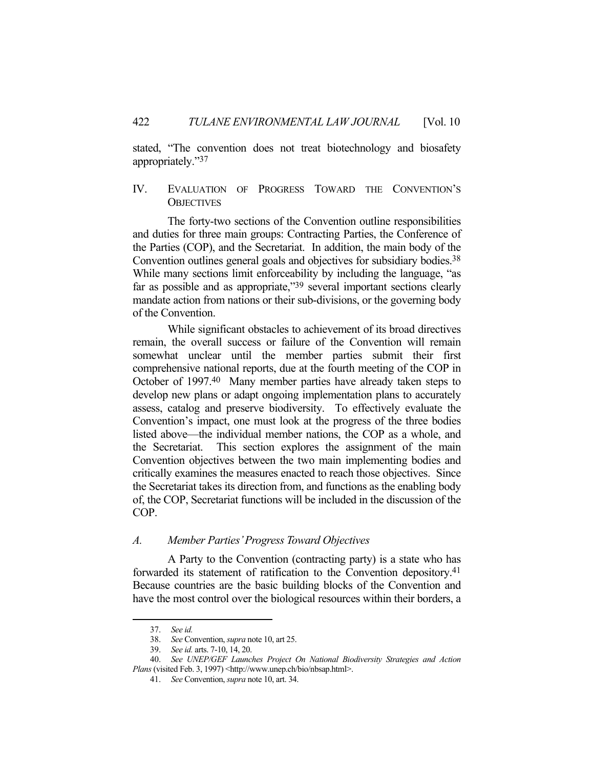stated, "The convention does not treat biotechnology and biosafety appropriately."37

# IV. EVALUATION OF PROGRESS TOWARD THE CONVENTION'S **OBJECTIVES**

 The forty-two sections of the Convention outline responsibilities and duties for three main groups: Contracting Parties, the Conference of the Parties (COP), and the Secretariat. In addition, the main body of the Convention outlines general goals and objectives for subsidiary bodies.<sup>38</sup> While many sections limit enforceability by including the language, "as far as possible and as appropriate,"39 several important sections clearly mandate action from nations or their sub-divisions, or the governing body of the Convention.

 While significant obstacles to achievement of its broad directives remain, the overall success or failure of the Convention will remain somewhat unclear until the member parties submit their first comprehensive national reports, due at the fourth meeting of the COP in October of 1997.40 Many member parties have already taken steps to develop new plans or adapt ongoing implementation plans to accurately assess, catalog and preserve biodiversity. To effectively evaluate the Convention's impact, one must look at the progress of the three bodies listed above—the individual member nations, the COP as a whole, and the Secretariat. This section explores the assignment of the main Convention objectives between the two main implementing bodies and critically examines the measures enacted to reach those objectives. Since the Secretariat takes its direction from, and functions as the enabling body of, the COP, Secretariat functions will be included in the discussion of the COP.

## *A. Member Parties' Progress Toward Objectives*

 A Party to the Convention (contracting party) is a state who has forwarded its statement of ratification to the Convention depository.41 Because countries are the basic building blocks of the Convention and have the most control over the biological resources within their borders, a

 <sup>37.</sup> *See id.*

 <sup>38.</sup> *See* Convention, *supra* note 10, art 25.

 <sup>39.</sup> *See id.* arts. 7-10, 14, 20.

 <sup>40.</sup> *See UNEP/GEF Launches Project On National Biodiversity Strategies and Action Plans* (visited Feb. 3, 1997) <http://www.unep.ch/bio/nbsap.html>.

 <sup>41.</sup> *See* Convention, *supra* note 10, art. 34.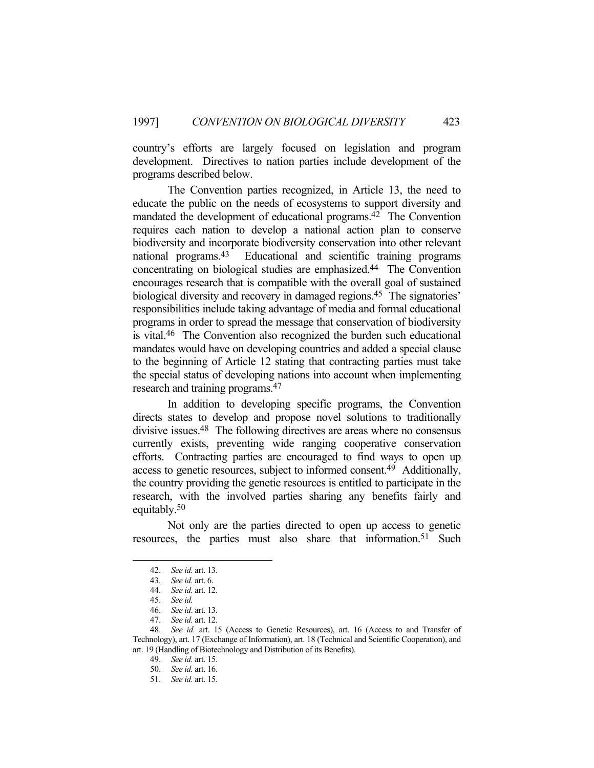country's efforts are largely focused on legislation and program development. Directives to nation parties include development of the programs described below.

 The Convention parties recognized, in Article 13, the need to educate the public on the needs of ecosystems to support diversity and mandated the development of educational programs.42 The Convention requires each nation to develop a national action plan to conserve biodiversity and incorporate biodiversity conservation into other relevant national programs.43 Educational and scientific training programs concentrating on biological studies are emphasized.44 The Convention encourages research that is compatible with the overall goal of sustained biological diversity and recovery in damaged regions.<sup>45</sup> The signatories' responsibilities include taking advantage of media and formal educational programs in order to spread the message that conservation of biodiversity is vital.46 The Convention also recognized the burden such educational mandates would have on developing countries and added a special clause to the beginning of Article 12 stating that contracting parties must take the special status of developing nations into account when implementing research and training programs.47

 In addition to developing specific programs, the Convention directs states to develop and propose novel solutions to traditionally divisive issues.48 The following directives are areas where no consensus currently exists, preventing wide ranging cooperative conservation efforts. Contracting parties are encouraged to find ways to open up access to genetic resources, subject to informed consent.49 Additionally, the country providing the genetic resources is entitled to participate in the research, with the involved parties sharing any benefits fairly and equitably.50

 Not only are the parties directed to open up access to genetic resources, the parties must also share that information.<sup>51</sup> Such

 <sup>42.</sup> *See id.* art. 13.

 <sup>43.</sup> *See id.* art. 6.

 <sup>44.</sup> *See id.* art. 12.

 <sup>45.</sup> *See id.*

 <sup>46.</sup> *See id*. art. 13.

 <sup>47.</sup> *See id.* art. 12.

 <sup>48.</sup> *See id.* art. 15 (Access to Genetic Resources), art. 16 (Access to and Transfer of Technology), art. 17 (Exchange of Information), art. 18 (Technical and Scientific Cooperation), and art. 19 (Handling of Biotechnology and Distribution of its Benefits).

 <sup>49.</sup> *See id.* art. 15.

 <sup>50.</sup> *See id.* art. 16.

 <sup>51.</sup> *See id.* art. 15.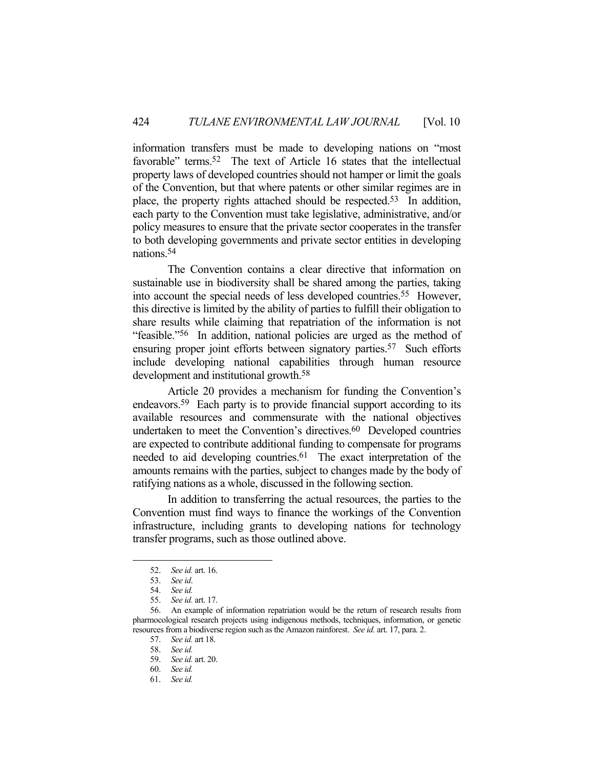information transfers must be made to developing nations on "most favorable" terms.<sup>52</sup> The text of Article 16 states that the intellectual property laws of developed countries should not hamper or limit the goals of the Convention, but that where patents or other similar regimes are in place, the property rights attached should be respected.53 In addition, each party to the Convention must take legislative, administrative, and/or policy measures to ensure that the private sector cooperates in the transfer to both developing governments and private sector entities in developing nations.54

 The Convention contains a clear directive that information on sustainable use in biodiversity shall be shared among the parties, taking into account the special needs of less developed countries.55 However, this directive is limited by the ability of parties to fulfill their obligation to share results while claiming that repatriation of the information is not "feasible."56 In addition, national policies are urged as the method of ensuring proper joint efforts between signatory parties.<sup>57</sup> Such efforts include developing national capabilities through human resource development and institutional growth.58

 Article 20 provides a mechanism for funding the Convention's endeavors.59 Each party is to provide financial support according to its available resources and commensurate with the national objectives undertaken to meet the Convention's directives. $60$  Developed countries are expected to contribute additional funding to compensate for programs needed to aid developing countries.<sup>61</sup> The exact interpretation of the amounts remains with the parties, subject to changes made by the body of ratifying nations as a whole, discussed in the following section.

 In addition to transferring the actual resources, the parties to the Convention must find ways to finance the workings of the Convention infrastructure, including grants to developing nations for technology transfer programs, such as those outlined above.

 <sup>52.</sup> *See id.* art. 16.

 <sup>53.</sup> *See id*.

 <sup>54.</sup> *See id.*

 <sup>55.</sup> *See id.* art. 17.

 <sup>56.</sup> An example of information repatriation would be the return of research results from pharmocological research projects using indigenous methods, techniques, information, or genetic resources from a biodiverse region such as the Amazon rainforest. *See id.* art. 17, para. 2.

 <sup>57.</sup> *See id.* art 18.

 <sup>58.</sup> *See id.*

 <sup>59.</sup> *See id.* art. 20.

 <sup>60.</sup> *See id.*

 <sup>61.</sup> *See id.*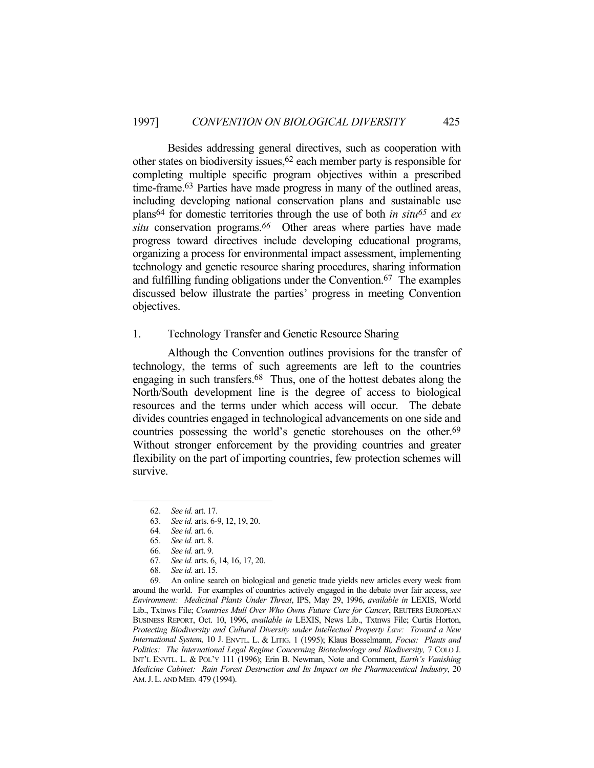Besides addressing general directives, such as cooperation with other states on biodiversity issues,62 each member party is responsible for completing multiple specific program objectives within a prescribed time-frame.63 Parties have made progress in many of the outlined areas, including developing national conservation plans and sustainable use plans64 for domestic territories through the use of both *in situ65* and *ex situ* conservation programs.*66* Other areas where parties have made progress toward directives include developing educational programs, organizing a process for environmental impact assessment, implementing technology and genetic resource sharing procedures, sharing information and fulfilling funding obligations under the Convention.67 The examples discussed below illustrate the parties' progress in meeting Convention objectives.

## 1. Technology Transfer and Genetic Resource Sharing

 Although the Convention outlines provisions for the transfer of technology, the terms of such agreements are left to the countries engaging in such transfers.68 Thus, one of the hottest debates along the North/South development line is the degree of access to biological resources and the terms under which access will occur. The debate divides countries engaged in technological advancements on one side and countries possessing the world's genetic storehouses on the other.<sup>69</sup> Without stronger enforcement by the providing countries and greater flexibility on the part of importing countries, few protection schemes will survive.

 <sup>62.</sup> *See id.* art. 17.

 <sup>63.</sup> *See id.* arts. 6-9, 12, 19, 20.

 <sup>64.</sup> *See id.* art. 6.

 <sup>65.</sup> *See id.* art. 8.

 <sup>66.</sup> *See id.* art. 9.

 <sup>67.</sup> *See id.* arts. 6, 14, 16, 17, 20.

 <sup>68.</sup> *See id.* art. 15.

 <sup>69.</sup> An online search on biological and genetic trade yields new articles every week from around the world. For examples of countries actively engaged in the debate over fair access, *see Environment: Medicinal Plants Under Threat*, IPS, May 29, 1996, *available in* LEXIS, World Lib., Txtnws File; *Countries Mull Over Who Owns Future Cure for Cancer*, REUTERS EUROPEAN BUSINESS REPORT, Oct. 10, 1996, *available in* LEXIS, News Lib., Txtnws File; Curtis Horton, *Protecting Biodiversity and Cultural Diversity under Intellectual Property Law: Toward a New International System,* 10 J. ENVTL. L. & LITIG. 1 (1995); Klaus Bosselmann*, Focus: Plants and*  Politics: The International Legal Regime Concerning Biotechnology and Biodiversity, 7 COLO J. INT'L ENVTL. L. & POL'Y 111 (1996); Erin B. Newman, Note and Comment, *Earth's Vanishing Medicine Cabinet: Rain Forest Destruction and Its Impact on the Pharmaceutical Industry*, 20 AM.J.L. AND MED. 479 (1994).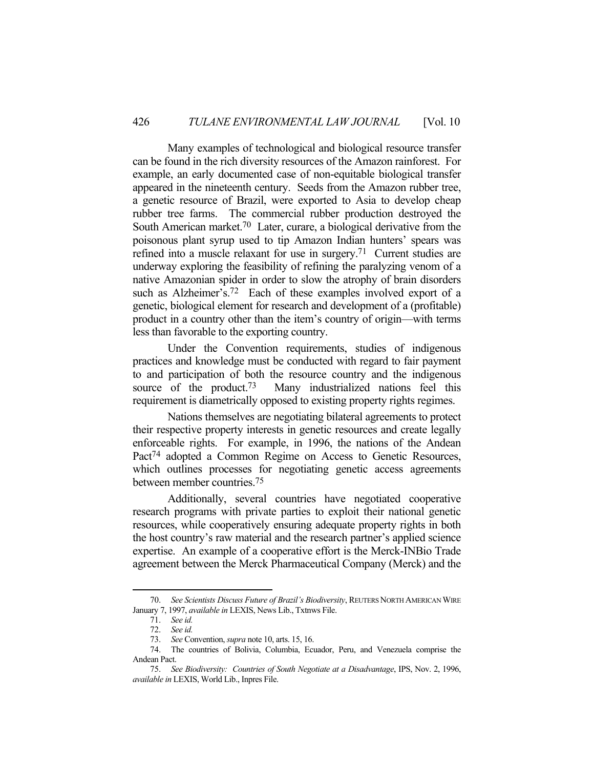Many examples of technological and biological resource transfer can be found in the rich diversity resources of the Amazon rainforest. For example, an early documented case of non-equitable biological transfer appeared in the nineteenth century. Seeds from the Amazon rubber tree, a genetic resource of Brazil, were exported to Asia to develop cheap rubber tree farms. The commercial rubber production destroyed the South American market.<sup>70</sup> Later, curare, a biological derivative from the poisonous plant syrup used to tip Amazon Indian hunters' spears was refined into a muscle relaxant for use in surgery.71 Current studies are underway exploring the feasibility of refining the paralyzing venom of a native Amazonian spider in order to slow the atrophy of brain disorders such as Alzheimer's.<sup>72</sup> Each of these examples involved export of a genetic, biological element for research and development of a (profitable) product in a country other than the item's country of origin—with terms less than favorable to the exporting country.

 Under the Convention requirements, studies of indigenous practices and knowledge must be conducted with regard to fair payment to and participation of both the resource country and the indigenous source of the product.<sup>73</sup> Many industrialized nations feel this requirement is diametrically opposed to existing property rights regimes.

 Nations themselves are negotiating bilateral agreements to protect their respective property interests in genetic resources and create legally enforceable rights. For example, in 1996, the nations of the Andean Pact<sup>74</sup> adopted a Common Regime on Access to Genetic Resources, which outlines processes for negotiating genetic access agreements between member countries.75

 Additionally, several countries have negotiated cooperative research programs with private parties to exploit their national genetic resources, while cooperatively ensuring adequate property rights in both the host country's raw material and the research partner's applied science expertise. An example of a cooperative effort is the Merck-INBio Trade agreement between the Merck Pharmaceutical Company (Merck) and the

 <sup>70.</sup> *See Scientists Discuss Future of Brazil's Biodiversity*, REUTERS NORTH AMERICAN WIRE January 7, 1997, *available in* LEXIS, News Lib., Txtnws File.

 <sup>71.</sup> *See id.*

 <sup>72.</sup> *See id.*

 <sup>73.</sup> *See* Convention, *supra* note 10, arts. 15, 16.

 <sup>74.</sup> The countries of Bolivia, Columbia, Ecuador, Peru, and Venezuela comprise the Andean Pact.

 <sup>75.</sup> *See Biodiversity: Countries of South Negotiate at a Disadvantage*, IPS, Nov. 2, 1996, *available in* LEXIS, World Lib., Inpres File.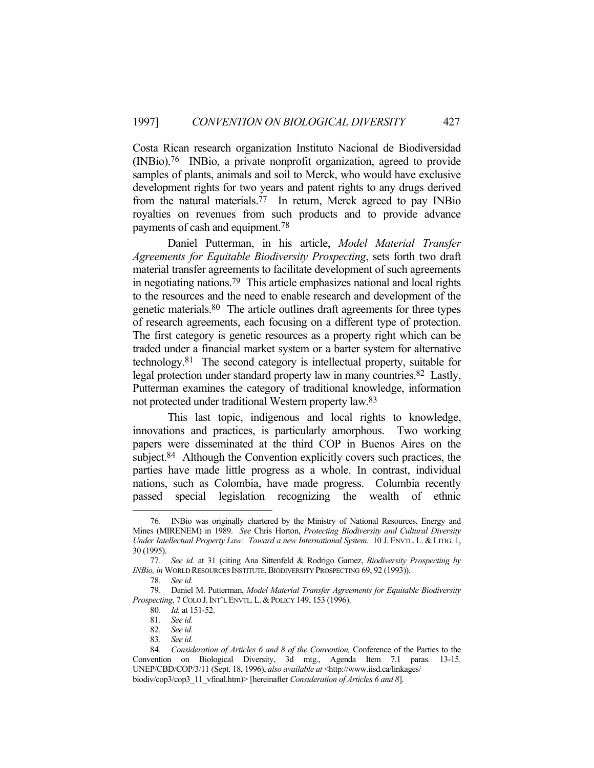Costa Rican research organization Instituto Nacional de Biodiversidad (INBio).76 INBio, a private nonprofit organization, agreed to provide samples of plants, animals and soil to Merck, who would have exclusive development rights for two years and patent rights to any drugs derived from the natural materials.77 In return, Merck agreed to pay INBio royalties on revenues from such products and to provide advance payments of cash and equipment.78

 Daniel Putterman, in his article, *Model Material Transfer Agreements for Equitable Biodiversity Prospecting*, sets forth two draft material transfer agreements to facilitate development of such agreements in negotiating nations.79 This article emphasizes national and local rights to the resources and the need to enable research and development of the genetic materials.80 The article outlines draft agreements for three types of research agreements, each focusing on a different type of protection. The first category is genetic resources as a property right which can be traded under a financial market system or a barter system for alternative technology.81 The second category is intellectual property, suitable for legal protection under standard property law in many countries.<sup>82</sup> Lastly, Putterman examines the category of traditional knowledge, information not protected under traditional Western property law.83

 This last topic, indigenous and local rights to knowledge, innovations and practices, is particularly amorphous. Two working papers were disseminated at the third COP in Buenos Aires on the subject.<sup>84</sup> Although the Convention explicitly covers such practices, the parties have made little progress as a whole. In contrast, individual nations, such as Colombia, have made progress. Columbia recently passed special legislation recognizing the wealth of ethnic

 <sup>76.</sup> INBio was originally chartered by the Ministry of National Resources, Energy and Mines (MIRENEM) in 1989. *See* Chris Horton, *Protecting Biodiversity and Cultural Diversity Under Intellectual Property Law: Toward a new International System*. 10 J. ENVTL. L. & LITIG. 1, 30 (1995).

 <sup>77.</sup> *See id.* at 31 (citing Ana Sittenfeld & Rodrigo Gamez, *Biodiversity Prospecting by INBio, in* WORLD RESOURCES INSTITUTE,BIODIVERSITY PROSPECTING 69, 92 (1993)).

 <sup>78.</sup> *See id.*

 <sup>79.</sup> Daniel M. Putterman, *Model Material Transfer Agreements for Equitable Biodiversity Prospecting*, 7 COLO J.INT'L ENVTL.L.&POLICY 149, 153 (1996).

 <sup>80.</sup> *Id.* at 151-52.

 <sup>81.</sup> *See id.*

 <sup>82.</sup> *See id.*

 <sup>83.</sup> *See id.*

 <sup>84.</sup> *Consideration of Articles 6 and 8 of the Convention,* Conference of the Parties to the Convention on Biological Diversity, 3d mtg., Agenda Item 7.1 paras. 13-15. UNEP/CBD/COP/3/11 (Sept. 18, 1996), *also available at* <http://www.iisd.ca/linkages/ biodiv/cop3/cop3\_11\_vfinal.htm)> [hereinafter *Consideration of Articles 6 and 8*].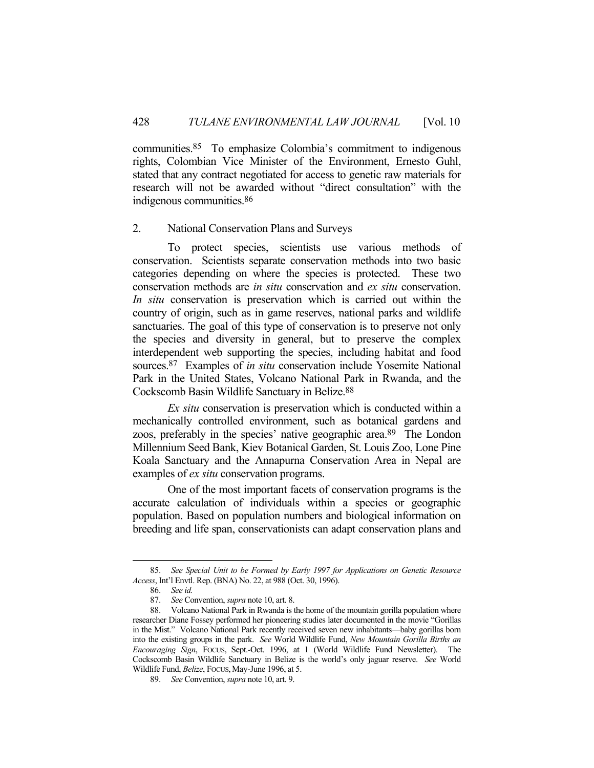communities.85 To emphasize Colombia's commitment to indigenous rights, Colombian Vice Minister of the Environment, Ernesto Guhl, stated that any contract negotiated for access to genetic raw materials for research will not be awarded without "direct consultation" with the indigenous communities.86

#### 2. National Conservation Plans and Surveys

 To protect species, scientists use various methods of conservation. Scientists separate conservation methods into two basic categories depending on where the species is protected. These two conservation methods are *in situ* conservation and *ex situ* conservation. *In situ* conservation is preservation which is carried out within the country of origin, such as in game reserves, national parks and wildlife sanctuaries. The goal of this type of conservation is to preserve not only the species and diversity in general, but to preserve the complex interdependent web supporting the species, including habitat and food sources.87 Examples of *in situ* conservation include Yosemite National Park in the United States, Volcano National Park in Rwanda, and the Cockscomb Basin Wildlife Sanctuary in Belize.88

*Ex situ* conservation is preservation which is conducted within a mechanically controlled environment, such as botanical gardens and zoos, preferably in the species' native geographic area.89 The London Millennium Seed Bank, Kiev Botanical Garden, St. Louis Zoo, Lone Pine Koala Sanctuary and the Annapurna Conservation Area in Nepal are examples of *ex situ* conservation programs.

 One of the most important facets of conservation programs is the accurate calculation of individuals within a species or geographic population. Based on population numbers and biological information on breeding and life span, conservationists can adapt conservation plans and

 <sup>85.</sup> *See Special Unit to be Formed by Early 1997 for Applications on Genetic Resource Access*, Int'l Envtl. Rep. (BNA) No. 22, at 988 (Oct. 30, 1996).

 <sup>86.</sup> *See id.*

 <sup>87.</sup> *See* Convention, *supra* note 10, art. 8.

 <sup>88.</sup> Volcano National Park in Rwanda is the home of the mountain gorilla population where researcher Diane Fossey performed her pioneering studies later documented in the movie "Gorillas in the Mist." Volcano National Park recently received seven new inhabitants—baby gorillas born into the existing groups in the park. *See* World Wildlife Fund, *New Mountain Gorilla Births an Encouraging Sign*, FOCUS, Sept.-Oct. 1996, at 1 (World Wildlife Fund Newsletter). The Cockscomb Basin Wildlife Sanctuary in Belize is the world's only jaguar reserve. *See* World Wildlife Fund, *Belize*, Focus, May-June 1996, at 5.

 <sup>89.</sup> *See* Convention, *supra* note 10, art. 9.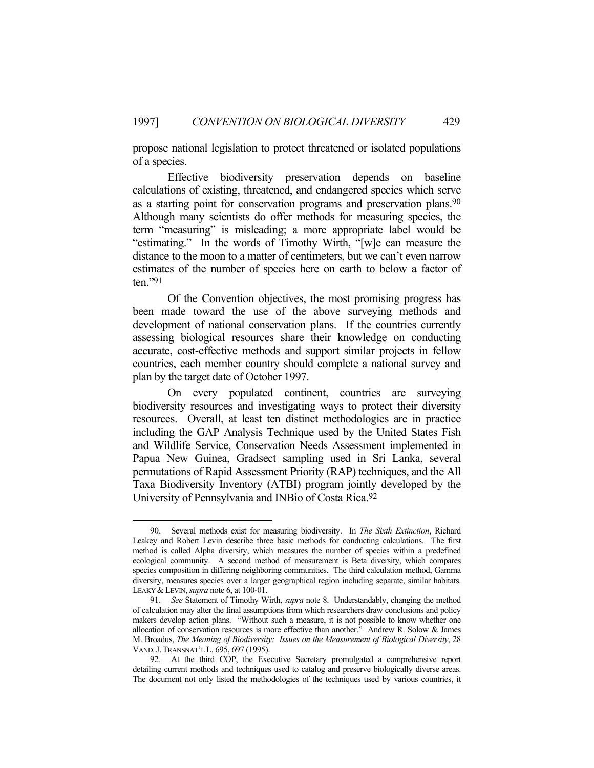propose national legislation to protect threatened or isolated populations of a species.

 Effective biodiversity preservation depends on baseline calculations of existing, threatened, and endangered species which serve as a starting point for conservation programs and preservation plans.<sup>90</sup> Although many scientists do offer methods for measuring species, the term "measuring" is misleading; a more appropriate label would be "estimating." In the words of Timothy Wirth, "[w]e can measure the distance to the moon to a matter of centimeters, but we can't even narrow estimates of the number of species here on earth to below a factor of ten."91

 Of the Convention objectives, the most promising progress has been made toward the use of the above surveying methods and development of national conservation plans. If the countries currently assessing biological resources share their knowledge on conducting accurate, cost-effective methods and support similar projects in fellow countries, each member country should complete a national survey and plan by the target date of October 1997.

 On every populated continent, countries are surveying biodiversity resources and investigating ways to protect their diversity resources. Overall, at least ten distinct methodologies are in practice including the GAP Analysis Technique used by the United States Fish and Wildlife Service, Conservation Needs Assessment implemented in Papua New Guinea, Gradsect sampling used in Sri Lanka, several permutations of Rapid Assessment Priority (RAP) techniques, and the All Taxa Biodiversity Inventory (ATBI) program jointly developed by the University of Pennsylvania and INBio of Costa Rica.92

 <sup>90.</sup> Several methods exist for measuring biodiversity. In *The Sixth Extinction*, Richard Leakey and Robert Levin describe three basic methods for conducting calculations. The first method is called Alpha diversity, which measures the number of species within a predefined ecological community. A second method of measurement is Beta diversity, which compares species composition in differing neighboring communities. The third calculation method, Gamma diversity, measures species over a larger geographical region including separate, similar habitats. LEAKY &LEVIN, *supra* note 6, at 100-01.

 <sup>91.</sup> *See* Statement of Timothy Wirth, *supra* note 8. Understandably, changing the method of calculation may alter the final assumptions from which researchers draw conclusions and policy makers develop action plans. "Without such a measure, it is not possible to know whether one allocation of conservation resources is more effective than another." Andrew R. Solow & James M. Broadus, *The Meaning of Biodiversity: Issues on the Measurement of Biological Diversity*, 28 VAND.J.TRANSNAT'L L. 695, 697 (1995).

 <sup>92.</sup> At the third COP, the Executive Secretary promulgated a comprehensive report detailing current methods and techniques used to catalog and preserve biologically diverse areas. The document not only listed the methodologies of the techniques used by various countries, it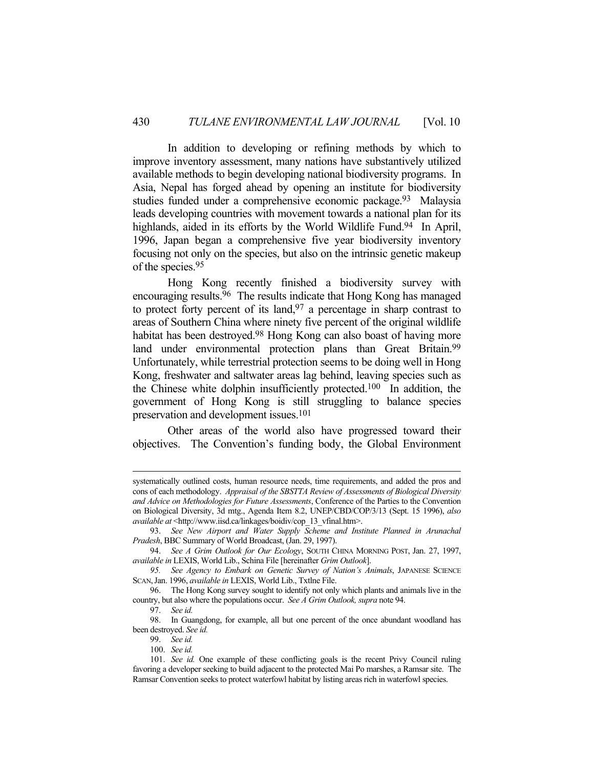In addition to developing or refining methods by which to improve inventory assessment, many nations have substantively utilized available methods to begin developing national biodiversity programs. In Asia, Nepal has forged ahead by opening an institute for biodiversity studies funded under a comprehensive economic package.<sup>93</sup> Malaysia leads developing countries with movement towards a national plan for its highlands, aided in its efforts by the World Wildlife Fund.<sup>94</sup> In April, 1996, Japan began a comprehensive five year biodiversity inventory focusing not only on the species, but also on the intrinsic genetic makeup of the species.95

 Hong Kong recently finished a biodiversity survey with encouraging results.96 The results indicate that Hong Kong has managed to protect forty percent of its land,  $97$  a percentage in sharp contrast to areas of Southern China where ninety five percent of the original wildlife habitat has been destroyed.<sup>98</sup> Hong Kong can also boast of having more land under environmental protection plans than Great Britain.<sup>99</sup> Unfortunately, while terrestrial protection seems to be doing well in Hong Kong, freshwater and saltwater areas lag behind, leaving species such as the Chinese white dolphin insufficiently protected.100 In addition, the government of Hong Kong is still struggling to balance species preservation and development issues.101

 Other areas of the world also have progressed toward their objectives. The Convention's funding body, the Global Environment

systematically outlined costs, human resource needs, time requirements, and added the pros and cons of each methodology. *Appraisal of the SBSTTA Review of Assessments of Biological Diversity and Advice on Methodologies for Future Assessments*, Conference of the Parties to the Convention on Biological Diversity, 3d mtg., Agenda Item 8.2, UNEP/CBD/COP/3/13 (Sept. 15 1996), *also available at* <http://www.iisd.ca/linkages/boidiv/cop\_13\_vfinal.htm>.

 <sup>93.</sup> *See New Airport and Water Supply Scheme and Institute Planned in Arunachal Pradesh*, BBC Summary of World Broadcast, (Jan. 29, 1997).

 <sup>94.</sup> *See A Grim Outlook for Our Ecology*, SOUTH CHINA MORNING POST, Jan. 27, 1997, *available in* LEXIS, World Lib., Schina File [hereinafter *Grim Outlook*].

 *<sup>95.</sup> See Agency to Embark on Genetic Survey of Nation's Animals*, JAPANESE SCIENCE SCAN,Jan. 1996, *available in* LEXIS, World Lib., Txtlne File.

 <sup>96.</sup> The Hong Kong survey sought to identify not only which plants and animals live in the country, but also where the populations occur. *See A Grim Outlook, supra* note 94.

 <sup>97.</sup> *See id.*

 <sup>98.</sup> In Guangdong, for example, all but one percent of the once abundant woodland has been destroyed. *See id.*

 <sup>99.</sup> *See id.*

 <sup>100.</sup> *See id.*

 <sup>101.</sup> *See id.* One example of these conflicting goals is the recent Privy Council ruling favoring a developer seeking to build adjacent to the protected Mai Po marshes, a Ramsar site. The Ramsar Convention seeks to protect waterfowl habitat by listing areas rich in waterfowl species.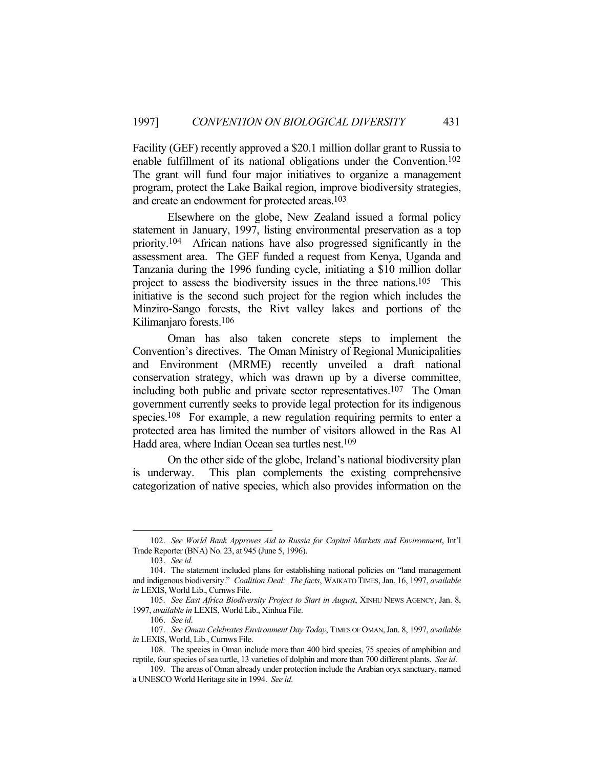Facility (GEF) recently approved a \$20.1 million dollar grant to Russia to enable fulfillment of its national obligations under the Convention.102 The grant will fund four major initiatives to organize a management program, protect the Lake Baikal region, improve biodiversity strategies, and create an endowment for protected areas.103

 Elsewhere on the globe, New Zealand issued a formal policy statement in January, 1997, listing environmental preservation as a top priority.104 African nations have also progressed significantly in the assessment area. The GEF funded a request from Kenya, Uganda and Tanzania during the 1996 funding cycle, initiating a \$10 million dollar project to assess the biodiversity issues in the three nations.105 This initiative is the second such project for the region which includes the Minziro-Sango forests, the Rivt valley lakes and portions of the Kilimanjaro forests.106

 Oman has also taken concrete steps to implement the Convention's directives. The Oman Ministry of Regional Municipalities and Environment (MRME) recently unveiled a draft national conservation strategy, which was drawn up by a diverse committee, including both public and private sector representatives.107 The Oman government currently seeks to provide legal protection for its indigenous species.<sup>108</sup> For example, a new regulation requiring permits to enter a protected area has limited the number of visitors allowed in the Ras Al Hadd area, where Indian Ocean sea turtles nest.<sup>109</sup>

 On the other side of the globe, Ireland's national biodiversity plan is underway. This plan complements the existing comprehensive categorization of native species, which also provides information on the

 <sup>102.</sup> *See World Bank Approves Aid to Russia for Capital Markets and Environment*, Int'l Trade Reporter (BNA) No. 23, at 945 (June 5, 1996).

 <sup>103.</sup> *See id.*

 <sup>104.</sup> The statement included plans for establishing national policies on "land management and indigenous biodiversity." *Coalition Deal: The facts*, WAIKATO TIMES, Jan. 16, 1997, *available in* LEXIS, World Lib., Curnws File.

 <sup>105.</sup> *See East Africa Biodiversity Project to Start in August*, XINHU NEWS AGENCY, Jan. 8, 1997, *available in* LEXIS, World Lib., Xinhua File.

 <sup>106.</sup> *See id*.

 <sup>107.</sup> *See Oman Celebrates Environment Day Today*, TIMES OF OMAN,Jan. 8, 1997, *available in* LEXIS, World, Lib., Curnws File.

 <sup>108.</sup> The species in Oman include more than 400 bird species, 75 species of amphibian and reptile, four species of sea turtle, 13 varieties of dolphin and more than 700 different plants. *See id*.

 <sup>109.</sup> The areas of Oman already under protection include the Arabian oryx sanctuary, named a UNESCO World Heritage site in 1994. *See id*.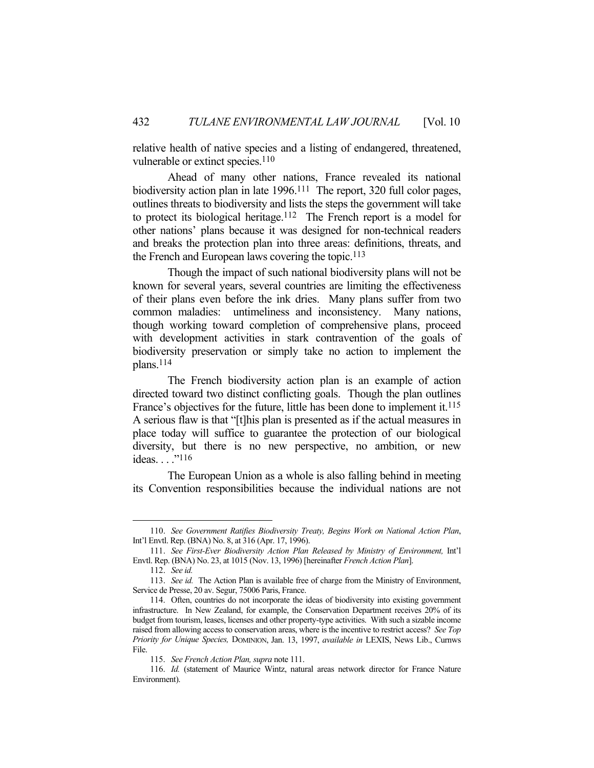relative health of native species and a listing of endangered, threatened, vulnerable or extinct species.<sup>110</sup>

 Ahead of many other nations, France revealed its national biodiversity action plan in late 1996.<sup>111</sup> The report, 320 full color pages, outlines threats to biodiversity and lists the steps the government will take to protect its biological heritage.112 The French report is a model for other nations' plans because it was designed for non-technical readers and breaks the protection plan into three areas: definitions, threats, and the French and European laws covering the topic.<sup>113</sup>

 Though the impact of such national biodiversity plans will not be known for several years, several countries are limiting the effectiveness of their plans even before the ink dries. Many plans suffer from two common maladies: untimeliness and inconsistency. Many nations, though working toward completion of comprehensive plans, proceed with development activities in stark contravention of the goals of biodiversity preservation or simply take no action to implement the plans.114

 The French biodiversity action plan is an example of action directed toward two distinct conflicting goals. Though the plan outlines France's objectives for the future, little has been done to implement it.<sup>115</sup> A serious flaw is that "[t]his plan is presented as if the actual measures in place today will suffice to guarantee the protection of our biological diversity, but there is no new perspective, no ambition, or new ideas. . . . "116

 The European Union as a whole is also falling behind in meeting its Convention responsibilities because the individual nations are not

 <sup>110.</sup> *See Government Ratifies Biodiversity Treaty, Begins Work on National Action Plan*, Int'l Envtl. Rep. (BNA) No. 8, at 316 (Apr. 17, 1996).

 <sup>111.</sup> *See First-Ever Biodiversity Action Plan Released by Ministry of Environment,* Int'l Envtl. Rep. (BNA) No. 23, at 1015 (Nov. 13, 1996) [hereinafter *French Action Plan*].

 <sup>112.</sup> *See id.*

 <sup>113.</sup> *See id.* The Action Plan is available free of charge from the Ministry of Environment, Service de Presse, 20 av. Segur, 75006 Paris, France.

 <sup>114.</sup> Often, countries do not incorporate the ideas of biodiversity into existing government infrastructure. In New Zealand, for example, the Conservation Department receives 20% of its budget from tourism, leases, licenses and other property-type activities. With such a sizable income raised from allowing access to conservation areas, where is the incentive to restrict access? *See Top Priority for Unique Species,* DOMINION, Jan. 13, 1997, *available in* LEXIS, News Lib., Curnws File.

 <sup>115.</sup> *See French Action Plan, supra* note 111.

 <sup>116.</sup> *Id.* (statement of Maurice Wintz, natural areas network director for France Nature Environment).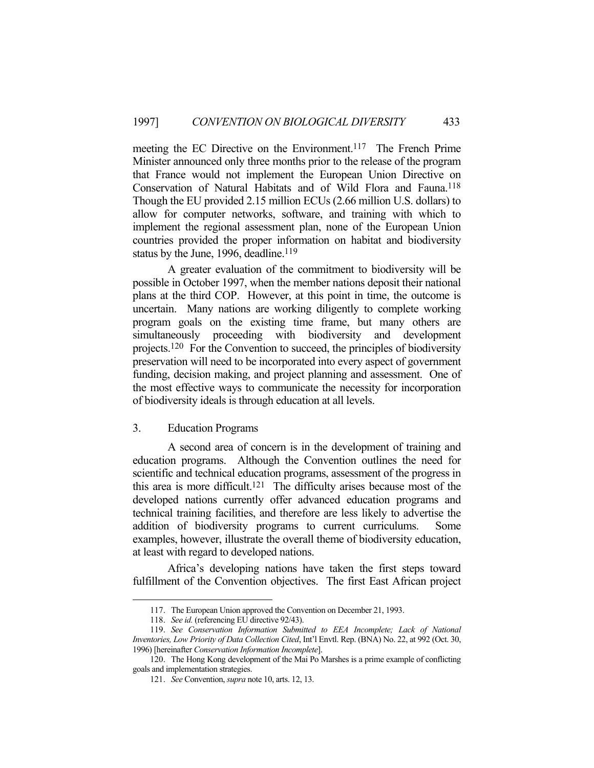meeting the EC Directive on the Environment.<sup>117</sup> The French Prime Minister announced only three months prior to the release of the program that France would not implement the European Union Directive on Conservation of Natural Habitats and of Wild Flora and Fauna.118 Though the EU provided 2.15 million ECUs (2.66 million U.S. dollars) to allow for computer networks, software, and training with which to implement the regional assessment plan, none of the European Union countries provided the proper information on habitat and biodiversity status by the June, 1996, deadline.<sup>119</sup>

 A greater evaluation of the commitment to biodiversity will be possible in October 1997, when the member nations deposit their national plans at the third COP. However, at this point in time, the outcome is uncertain. Many nations are working diligently to complete working program goals on the existing time frame, but many others are simultaneously proceeding with biodiversity and development projects.120 For the Convention to succeed, the principles of biodiversity preservation will need to be incorporated into every aspect of government funding, decision making, and project planning and assessment. One of the most effective ways to communicate the necessity for incorporation of biodiversity ideals is through education at all levels.

## 3. Education Programs

 A second area of concern is in the development of training and education programs. Although the Convention outlines the need for scientific and technical education programs, assessment of the progress in this area is more difficult.121 The difficulty arises because most of the developed nations currently offer advanced education programs and technical training facilities, and therefore are less likely to advertise the addition of biodiversity programs to current curriculums. Some examples, however, illustrate the overall theme of biodiversity education, at least with regard to developed nations.

 Africa's developing nations have taken the first steps toward fulfillment of the Convention objectives. The first East African project

 <sup>117.</sup> The European Union approved the Convention on December 21, 1993.

 <sup>118.</sup> *See id.* (referencing EU directive 92/43).

 <sup>119.</sup> *See Conservation Information Submitted to EEA Incomplete; Lack of National Inventories, Low Priority of Data Collection Cited*, Int'l Envtl. Rep. (BNA) No. 22, at 992 (Oct. 30, 1996) [hereinafter *Conservation Information Incomplete*].

 <sup>120.</sup> The Hong Kong development of the Mai Po Marshes is a prime example of conflicting goals and implementation strategies.

 <sup>121.</sup> *See* Convention, *supra* note 10, arts. 12, 13.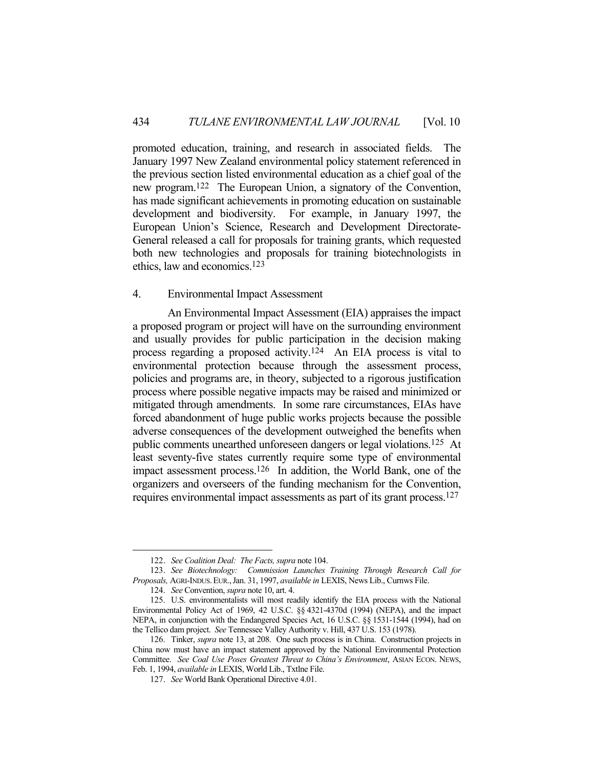promoted education, training, and research in associated fields. The January 1997 New Zealand environmental policy statement referenced in the previous section listed environmental education as a chief goal of the new program.122 The European Union, a signatory of the Convention, has made significant achievements in promoting education on sustainable development and biodiversity. For example, in January 1997, the European Union's Science, Research and Development Directorate-General released a call for proposals for training grants, which requested both new technologies and proposals for training biotechnologists in ethics, law and economics.123

## 4. Environmental Impact Assessment

 An Environmental Impact Assessment (EIA) appraises the impact a proposed program or project will have on the surrounding environment and usually provides for public participation in the decision making process regarding a proposed activity.124 An EIA process is vital to environmental protection because through the assessment process, policies and programs are, in theory, subjected to a rigorous justification process where possible negative impacts may be raised and minimized or mitigated through amendments. In some rare circumstances, EIAs have forced abandonment of huge public works projects because the possible adverse consequences of the development outweighed the benefits when public comments unearthed unforeseen dangers or legal violations.125 At least seventy-five states currently require some type of environmental impact assessment process.126 In addition, the World Bank, one of the organizers and overseers of the funding mechanism for the Convention, requires environmental impact assessments as part of its grant process.127

 <sup>122.</sup> *See Coalition Deal: The Facts, supra* note 104.

 <sup>123.</sup> *See Biotechnology: Commission Launches Training Through Research Call for Proposals,* AGRI-INDUS.EUR.,Jan. 31, 1997, *available in* LEXIS, News Lib., Curnws File.

 <sup>124.</sup> *See* Convention, *supra* note 10, art. 4.

 <sup>125.</sup> U.S. environmentalists will most readily identify the EIA process with the National Environmental Policy Act of 1969, 42 U.S.C. §§ 4321-4370d (1994) (NEPA), and the impact NEPA, in conjunction with the Endangered Species Act, 16 U.S.C. §§ 1531-1544 (1994), had on the Tellico dam project. *See* Tennessee Valley Authority v. Hill, 437 U.S. 153 (1978).

 <sup>126.</sup> Tinker, *supra* note 13, at 208. One such process is in China. Construction projects in China now must have an impact statement approved by the National Environmental Protection Committee. *See Coal Use Poses Greatest Threat to China's Environment*, ASIAN ECON. NEWS, Feb. 1, 1994, *available in* LEXIS, World Lib., Txtlne File.

 <sup>127.</sup> *See* World Bank Operational Directive 4.01.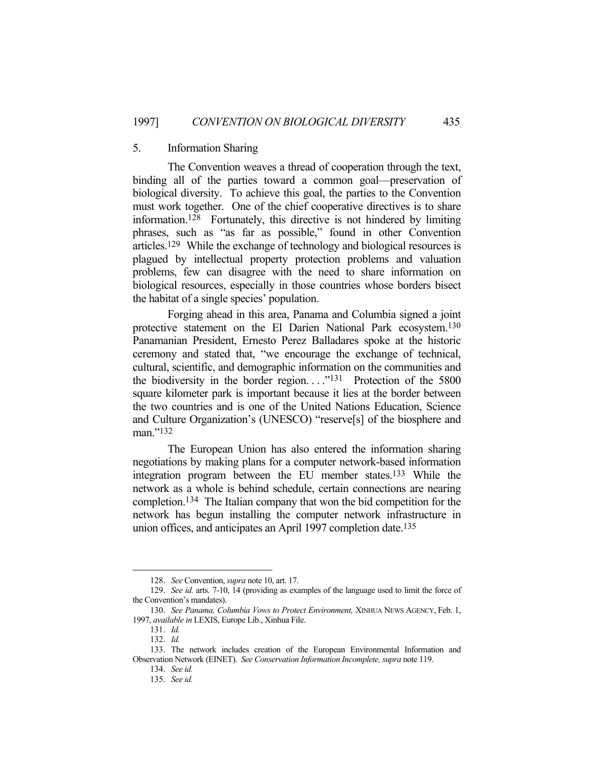#### 5. Information Sharing

 The Convention weaves a thread of cooperation through the text, binding all of the parties toward a common goal—preservation of biological diversity. To achieve this goal, the parties to the Convention must work together. One of the chief cooperative directives is to share information.<sup>128</sup> Fortunately, this directive is not hindered by limiting phrases, such as "as far as possible," found in other Convention articles.129 While the exchange of technology and biological resources is plagued by intellectual property protection problems and valuation problems, few can disagree with the need to share information on biological resources, especially in those countries whose borders bisect the habitat of a single species' population.

 Forging ahead in this area, Panama and Columbia signed a joint protective statement on the El Darien National Park ecosystem.130 Panamanian President, Ernesto Perez Balladares spoke at the historic ceremony and stated that, "we encourage the exchange of technical, cultural, scientific, and demographic information on the communities and the biodiversity in the border region. . . ."131 Protection of the 5800 square kilometer park is important because it lies at the border between the two countries and is one of the United Nations Education, Science and Culture Organization's (UNESCO) "reserve[s] of the biosphere and man."132

 The European Union has also entered the information sharing negotiations by making plans for a computer network-based information integration program between the EU member states.133 While the network as a whole is behind schedule, certain connections are nearing completion.134 The Italian company that won the bid competition for the network has begun installing the computer network infrastructure in union offices, and anticipates an April 1997 completion date.<sup>135</sup>

 <sup>128.</sup> *See* Convention, *supra* note 10, art. 17.

 <sup>129.</sup> *See id.* arts. 7-10, 14 (providing as examples of the language used to limit the force of the Convention's mandates).

 <sup>130.</sup> *See Panama, Columbia Vows to Protect Environment,* XINHUA NEWS AGENCY, Feb. 1, 1997, *available in* LEXIS, Europe Lib., Xinhua File.

 <sup>131.</sup> *Id.*

 <sup>132.</sup> *Id.*

 <sup>133.</sup> The network includes creation of the European Environmental Information and Observation Network (EINET). *See Conservation Information Incomplete, supra* note 119.

 <sup>134.</sup> *See id.*

 <sup>135.</sup> *See id.*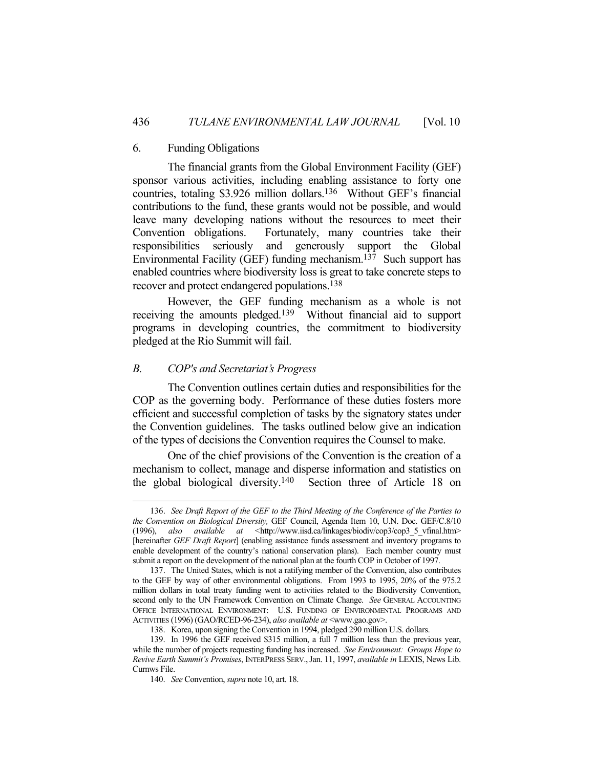#### 6. Funding Obligations

 The financial grants from the Global Environment Facility (GEF) sponsor various activities, including enabling assistance to forty one countries, totaling \$3.926 million dollars.136 Without GEF's financial contributions to the fund, these grants would not be possible, and would leave many developing nations without the resources to meet their Convention obligations. Fortunately, many countries take their responsibilities seriously and generously support the Global Environmental Facility (GEF) funding mechanism.137 Such support has enabled countries where biodiversity loss is great to take concrete steps to recover and protect endangered populations.138

 However, the GEF funding mechanism as a whole is not receiving the amounts pledged.139 Without financial aid to support programs in developing countries, the commitment to biodiversity pledged at the Rio Summit will fail.

## *B. COP's and Secretariat's Progress*

<u>.</u>

 The Convention outlines certain duties and responsibilities for the COP as the governing body. Performance of these duties fosters more efficient and successful completion of tasks by the signatory states under the Convention guidelines. The tasks outlined below give an indication of the types of decisions the Convention requires the Counsel to make.

 One of the chief provisions of the Convention is the creation of a mechanism to collect, manage and disperse information and statistics on the global biological diversity.140 Section three of Article 18 on

 <sup>136.</sup> *See Draft Report of the GEF to the Third Meeting of the Conference of the Parties to the Convention on Biological Diversity,* GEF Council, Agenda Item 10, U.N. Doc. GEF/C.8/10 (1996), *also available at <*http://www.iisd.ca/linkages/biodiv/cop3/cop3\_5\_vfinal.htm> [hereinafter *GEF Draft Report*] (enabling assistance funds assessment and inventory programs to enable development of the country's national conservation plans). Each member country must submit a report on the development of the national plan at the fourth COP in October of 1997.

 <sup>137.</sup> The United States, which is not a ratifying member of the Convention, also contributes to the GEF by way of other environmental obligations. From 1993 to 1995, 20% of the 975.2 million dollars in total treaty funding went to activities related to the Biodiversity Convention, second only to the UN Framework Convention on Climate Change. *See* GENERAL ACCOUNTING OFFICE INTERNATIONAL ENVIRONMENT: U.S. FUNDING OF ENVIRONMENTAL PROGRAMS AND ACTIVITIES (1996) (GAO/RCED-96-234), *also available at* <www.gao.gov>.

 <sup>138.</sup> Korea, upon signing the Convention in 1994, pledged 290 million U.S. dollars.

 <sup>139.</sup> In 1996 the GEF received \$315 million, a full 7 million less than the previous year, while the number of projects requesting funding has increased. *See Environment: Groups Hope to Revive Earth Summit's Promises*, INTERPRESS SERV.,Jan. 11, 1997, *available in* LEXIS, News Lib. Curnws File.

 <sup>140.</sup> *See* Convention, *supra* note 10, art. 18.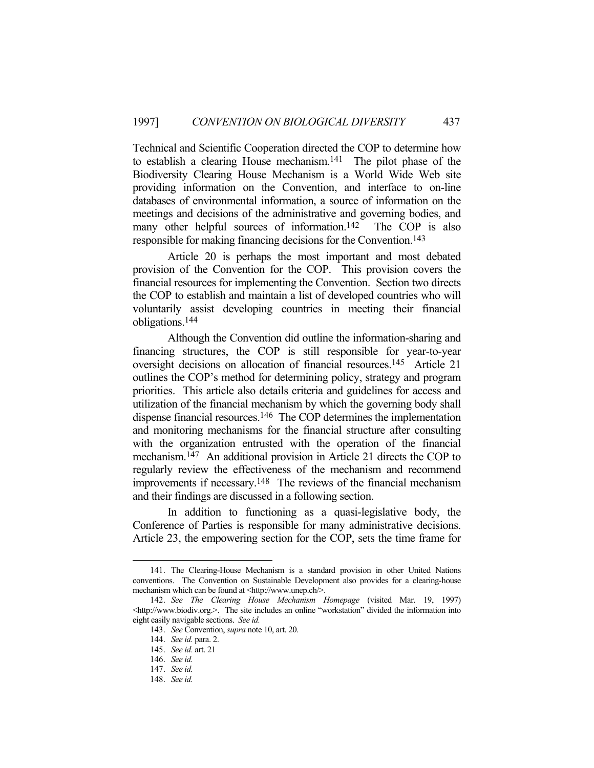Technical and Scientific Cooperation directed the COP to determine how to establish a clearing House mechanism.141 The pilot phase of the Biodiversity Clearing House Mechanism is a World Wide Web site providing information on the Convention, and interface to on-line databases of environmental information, a source of information on the meetings and decisions of the administrative and governing bodies, and many other helpful sources of information.<sup>142</sup> The COP is also responsible for making financing decisions for the Convention.143

 Article 20 is perhaps the most important and most debated provision of the Convention for the COP. This provision covers the financial resources for implementing the Convention. Section two directs the COP to establish and maintain a list of developed countries who will voluntarily assist developing countries in meeting their financial obligations.144

 Although the Convention did outline the information-sharing and financing structures, the COP is still responsible for year-to-year oversight decisions on allocation of financial resources.145 Article 21 outlines the COP's method for determining policy, strategy and program priorities. This article also details criteria and guidelines for access and utilization of the financial mechanism by which the governing body shall dispense financial resources.146 The COP determines the implementation and monitoring mechanisms for the financial structure after consulting with the organization entrusted with the operation of the financial mechanism.147 An additional provision in Article 21 directs the COP to regularly review the effectiveness of the mechanism and recommend improvements if necessary.148 The reviews of the financial mechanism and their findings are discussed in a following section.

 In addition to functioning as a quasi-legislative body, the Conference of Parties is responsible for many administrative decisions. Article 23, the empowering section for the COP, sets the time frame for

 <sup>141.</sup> The Clearing-House Mechanism is a standard provision in other United Nations conventions. The Convention on Sustainable Development also provides for a clearing-house mechanism which can be found at <http://www.unep.ch/>.

 <sup>142.</sup> *See The Clearing House Mechanism Homepage* (visited Mar. 19, 1997) <http://www.biodiv.org.>. The site includes an online "workstation" divided the information into eight easily navigable sections. *See id.*

 <sup>143.</sup> *See* Convention, *supra* note 10, art. 20.

 <sup>144.</sup> *See id.* para. 2.

 <sup>145.</sup> *See id.* art. 21

 <sup>146.</sup> *See id.*

 <sup>147.</sup> *See id.*

 <sup>148.</sup> *See id.*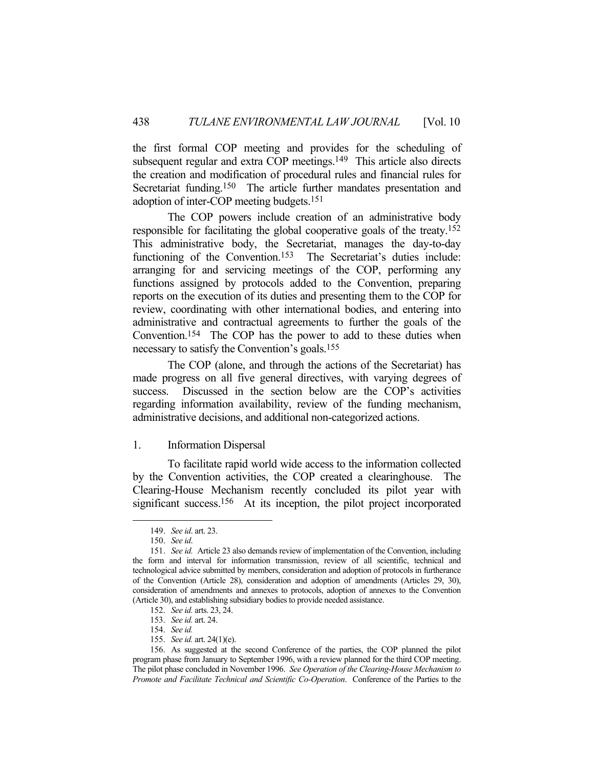the first formal COP meeting and provides for the scheduling of subsequent regular and extra COP meetings.<sup>149</sup> This article also directs the creation and modification of procedural rules and financial rules for Secretariat funding.<sup>150</sup> The article further mandates presentation and adoption of inter-COP meeting budgets.151

 The COP powers include creation of an administrative body responsible for facilitating the global cooperative goals of the treaty.152 This administrative body, the Secretariat, manages the day-to-day functioning of the Convention.<sup>153</sup> The Secretariat's duties include: arranging for and servicing meetings of the COP, performing any functions assigned by protocols added to the Convention, preparing reports on the execution of its duties and presenting them to the COP for review, coordinating with other international bodies, and entering into administrative and contractual agreements to further the goals of the Convention.154 The COP has the power to add to these duties when necessary to satisfy the Convention's goals.155

 The COP (alone, and through the actions of the Secretariat) has made progress on all five general directives, with varying degrees of success. Discussed in the section below are the COP's activities regarding information availability, review of the funding mechanism, administrative decisions, and additional non-categorized actions.

#### 1. Information Dispersal

 To facilitate rapid world wide access to the information collected by the Convention activities, the COP created a clearinghouse. The Clearing-House Mechanism recently concluded its pilot year with significant success.<sup>156</sup> At its inception, the pilot project incorporated

 <sup>149.</sup> *See id*. art. 23.

 <sup>150.</sup> *See id*.

 <sup>151.</sup> *See id.* Article 23 also demands review of implementation of the Convention, including the form and interval for information transmission, review of all scientific, technical and technological advice submitted by members, consideration and adoption of protocols in furtherance of the Convention (Article 28), consideration and adoption of amendments (Articles 29, 30), consideration of amendments and annexes to protocols, adoption of annexes to the Convention (Article 30), and establishing subsidiary bodies to provide needed assistance.

 <sup>152.</sup> *See id.* arts. 23, 24.

 <sup>153.</sup> *See id.* art. 24.

 <sup>154.</sup> *See id.*

 <sup>155.</sup> *See id.* art. 24(1)(e).

 <sup>156.</sup> As suggested at the second Conference of the parties, the COP planned the pilot program phase from January to September 1996, with a review planned for the third COP meeting. The pilot phase concluded in November 1996. *See Operation of the Clearing-House Mechanism to Promote and Facilitate Technical and Scientific Co-Operation*. Conference of the Parties to the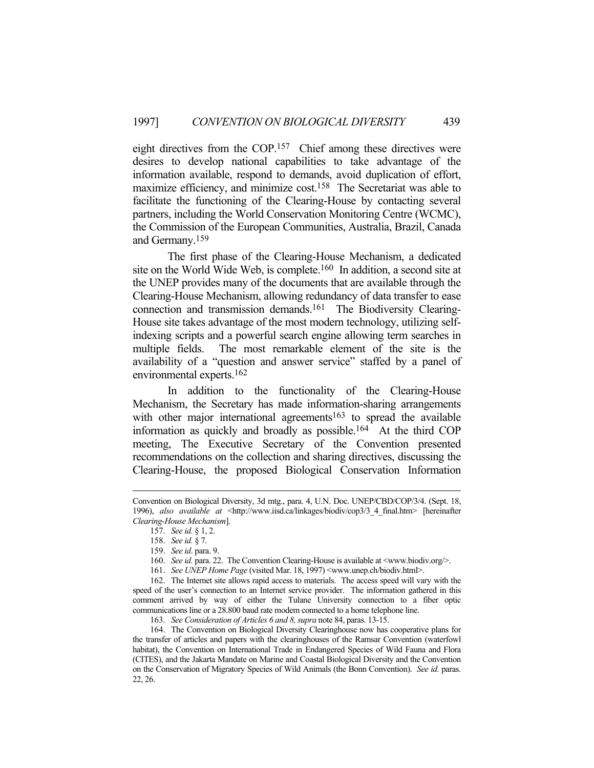eight directives from the COP.157 Chief among these directives were desires to develop national capabilities to take advantage of the information available, respond to demands, avoid duplication of effort, maximize efficiency, and minimize cost.<sup>158</sup> The Secretariat was able to facilitate the functioning of the Clearing-House by contacting several partners, including the World Conservation Monitoring Centre (WCMC), the Commission of the European Communities, Australia, Brazil, Canada and Germany.159

 The first phase of the Clearing-House Mechanism, a dedicated site on the World Wide Web, is complete.160 In addition, a second site at the UNEP provides many of the documents that are available through the Clearing-House Mechanism, allowing redundancy of data transfer to ease connection and transmission demands.161 The Biodiversity Clearing-House site takes advantage of the most modern technology, utilizing selfindexing scripts and a powerful search engine allowing term searches in multiple fields. The most remarkable element of the site is the availability of a "question and answer service" staffed by a panel of environmental experts.162

 In addition to the functionality of the Clearing-House Mechanism, the Secretary has made information-sharing arrangements with other major international agreements<sup>163</sup> to spread the available information as quickly and broadly as possible.164 At the third COP meeting, The Executive Secretary of the Convention presented recommendations on the collection and sharing directives, discussing the Clearing-House, the proposed Biological Conservation Information

Convention on Biological Diversity, 3d mtg., para. 4, U.N. Doc. UNEP/CBD/COP/3/4. (Sept. 18, 1996), *also available at* <http://www.iisd.ca/linkages/biodiv/cop3/3\_4\_final.htm> [hereinafter *Clearing-House Mechanism*].

 <sup>157.</sup> *See id.* § 1, 2.

 <sup>158.</sup> *See id.* § 7.

 <sup>159.</sup> *See id*. para. 9.

<sup>160.</sup> *See id.* para. 22. The Convention Clearing-House is available at <www.biodiv.org/>.

 <sup>161.</sup> *See UNEP Home Page* (visited Mar. 18, 1997) <www.unep.ch/biodiv.html>.

 <sup>162.</sup> The Internet site allows rapid access to materials. The access speed will vary with the speed of the user's connection to an Internet service provider. The information gathered in this comment arrived by way of either the Tulane University connection to a fiber optic communications line or a 28.800 baud rate modem connected to a home telephone line.

 <sup>163.</sup> *See Consideration of Articles 6 and 8, supra* note 84, paras. 13-15.

 <sup>164.</sup> The Convention on Biological Diversity Clearinghouse now has cooperative plans for the transfer of articles and papers with the clearinghouses of the Ramsar Convention (waterfowl habitat), the Convention on International Trade in Endangered Species of Wild Fauna and Flora (CITES), and the Jakarta Mandate on Marine and Coastal Biological Diversity and the Convention on the Conservation of Migratory Species of Wild Animals (the Bonn Convention). *See id.* paras. 22, 26.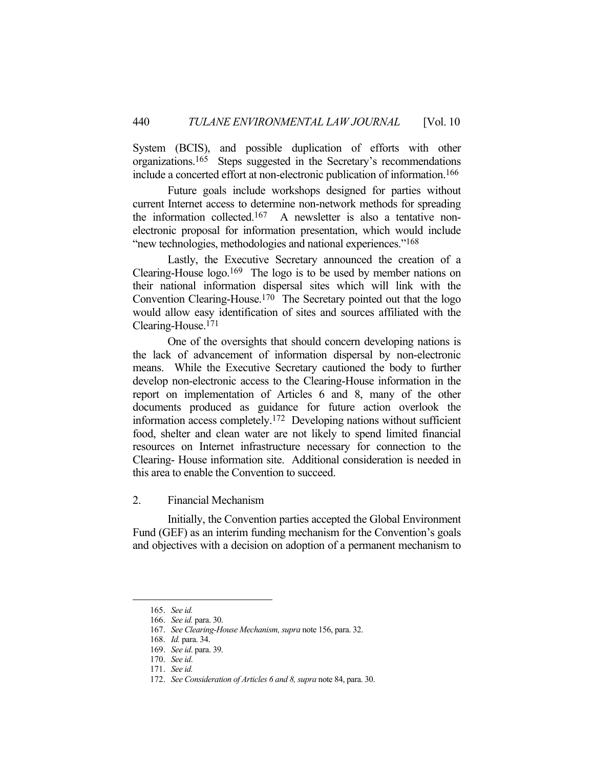System (BCIS), and possible duplication of efforts with other organizations.165 Steps suggested in the Secretary's recommendations include a concerted effort at non-electronic publication of information.166

 Future goals include workshops designed for parties without current Internet access to determine non-network methods for spreading the information collected.<sup>167</sup> A newsletter is also a tentative nonelectronic proposal for information presentation, which would include "new technologies, methodologies and national experiences."168

 Lastly, the Executive Secretary announced the creation of a Clearing-House  $log<sub>0</sub>$ .<sup>169</sup> The logo is to be used by member nations on their national information dispersal sites which will link with the Convention Clearing-House.170 The Secretary pointed out that the logo would allow easy identification of sites and sources affiliated with the Clearing-House.171

 One of the oversights that should concern developing nations is the lack of advancement of information dispersal by non-electronic means. While the Executive Secretary cautioned the body to further develop non-electronic access to the Clearing-House information in the report on implementation of Articles 6 and 8, many of the other documents produced as guidance for future action overlook the information access completely.172 Developing nations without sufficient food, shelter and clean water are not likely to spend limited financial resources on Internet infrastructure necessary for connection to the Clearing- House information site. Additional consideration is needed in this area to enable the Convention to succeed.

2. Financial Mechanism

 Initially, the Convention parties accepted the Global Environment Fund (GEF) as an interim funding mechanism for the Convention's goals and objectives with a decision on adoption of a permanent mechanism to

 <sup>165.</sup> *See id.*

 <sup>166.</sup> *See id.* para. 30.

 <sup>167.</sup> *See Clearing-House Mechanism, supra* note 156, para. 32.

 <sup>168.</sup> *Id.* para. 34.

 <sup>169.</sup> *See id*. para. 39.

 <sup>170.</sup> *See id*.

 <sup>171.</sup> *See id.*

 <sup>172.</sup> *See Consideration of Articles 6 and 8, supra* note 84, para. 30.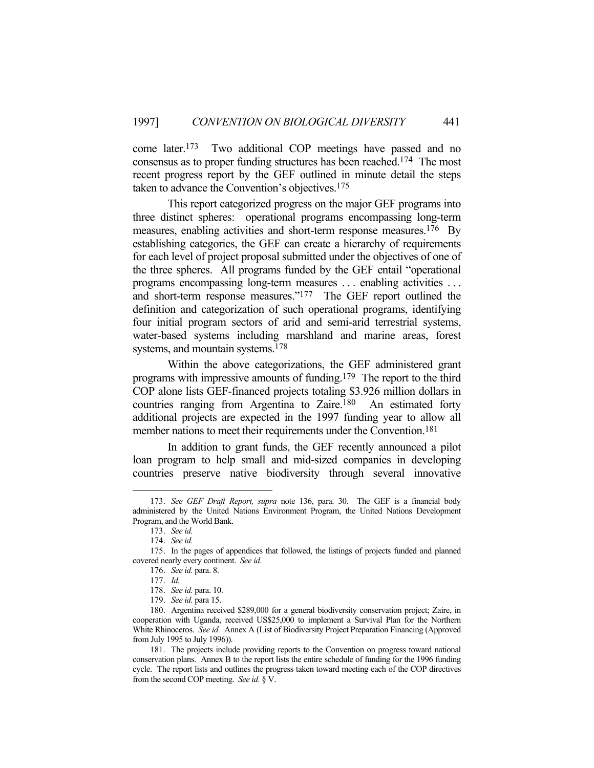come later.173 Two additional COP meetings have passed and no consensus as to proper funding structures has been reached.174 The most recent progress report by the GEF outlined in minute detail the steps taken to advance the Convention's objectives.175

 This report categorized progress on the major GEF programs into three distinct spheres: operational programs encompassing long-term measures, enabling activities and short-term response measures.<sup>176</sup> By establishing categories, the GEF can create a hierarchy of requirements for each level of project proposal submitted under the objectives of one of the three spheres. All programs funded by the GEF entail "operational programs encompassing long-term measures . . . enabling activities . . . and short-term response measures."177 The GEF report outlined the definition and categorization of such operational programs, identifying four initial program sectors of arid and semi-arid terrestrial systems, water-based systems including marshland and marine areas, forest systems, and mountain systems.<sup>178</sup>

 Within the above categorizations, the GEF administered grant programs with impressive amounts of funding.179 The report to the third COP alone lists GEF-financed projects totaling \$3.926 million dollars in countries ranging from Argentina to Zaire.180 An estimated forty additional projects are expected in the 1997 funding year to allow all member nations to meet their requirements under the Convention.<sup>181</sup>

 In addition to grant funds, the GEF recently announced a pilot loan program to help small and mid-sized companies in developing countries preserve native biodiversity through several innovative

 <sup>173.</sup> *See GEF Draft Report, supra* note 136, para. 30. The GEF is a financial body administered by the United Nations Environment Program, the United Nations Development Program, and the World Bank.

 <sup>173.</sup> *See id.*

 <sup>174.</sup> *See id.*

 <sup>175.</sup> In the pages of appendices that followed, the listings of projects funded and planned covered nearly every continent. *See id.*

 <sup>176.</sup> *See id.* para. 8.

 <sup>177.</sup> *Id.*

 <sup>178.</sup> *See id.* para. 10.

 <sup>179.</sup> *See id.* para 15.

 <sup>180.</sup> Argentina received \$289,000 for a general biodiversity conservation project; Zaire, in cooperation with Uganda, received US\$25,000 to implement a Survival Plan for the Northern White Rhinoceros. *See id.* Annex A (List of Biodiversity Project Preparation Financing (Approved from July 1995 to July 1996)).

 <sup>181.</sup> The projects include providing reports to the Convention on progress toward national conservation plans. Annex B to the report lists the entire schedule of funding for the 1996 funding cycle. The report lists and outlines the progress taken toward meeting each of the COP directives from the second COP meeting. *See id.* § V.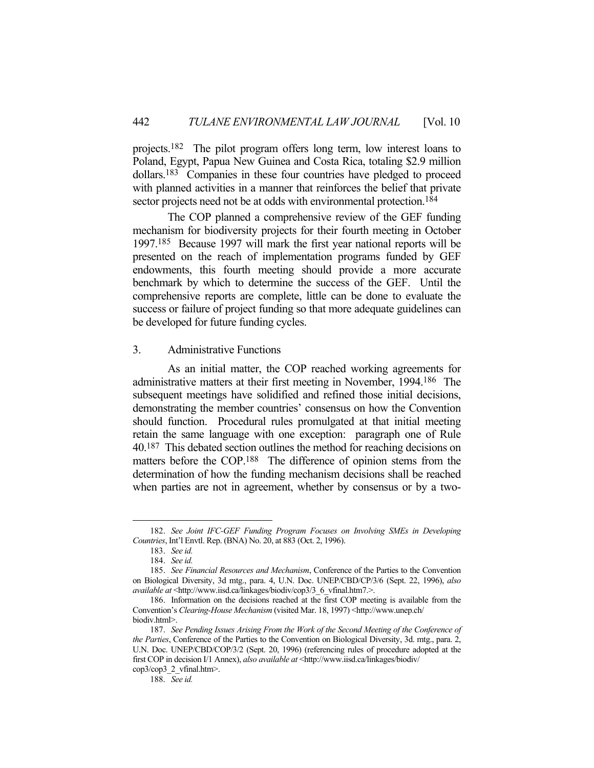projects.182 The pilot program offers long term, low interest loans to Poland, Egypt, Papua New Guinea and Costa Rica, totaling \$2.9 million dollars.183 Companies in these four countries have pledged to proceed with planned activities in a manner that reinforces the belief that private sector projects need not be at odds with environmental protection.<sup>184</sup>

 The COP planned a comprehensive review of the GEF funding mechanism for biodiversity projects for their fourth meeting in October 1997.185 Because 1997 will mark the first year national reports will be presented on the reach of implementation programs funded by GEF endowments, this fourth meeting should provide a more accurate benchmark by which to determine the success of the GEF. Until the comprehensive reports are complete, little can be done to evaluate the success or failure of project funding so that more adequate guidelines can be developed for future funding cycles.

## 3. Administrative Functions

 As an initial matter, the COP reached working agreements for administrative matters at their first meeting in November, 1994. 186 The subsequent meetings have solidified and refined those initial decisions, demonstrating the member countries' consensus on how the Convention should function. Procedural rules promulgated at that initial meeting retain the same language with one exception: paragraph one of Rule 40.187 This debated section outlines the method for reaching decisions on matters before the COP.188 The difference of opinion stems from the determination of how the funding mechanism decisions shall be reached when parties are not in agreement, whether by consensus or by a two-

 <sup>182.</sup> *See Joint IFC-GEF Funding Program Focuses on Involving SMEs in Developing Countries*, Int'l Envtl. Rep. (BNA) No. 20, at 883 (Oct. 2, 1996).

 <sup>183.</sup> *See id.*

 <sup>184.</sup> *See id.*

 <sup>185.</sup> *See Financial Resources and Mechanism*, Conference of the Parties to the Convention on Biological Diversity, 3d mtg., para. 4, U.N. Doc. UNEP/CBD/CP/3/6 (Sept. 22, 1996), *also available at* <http://www.iisd.ca/linkages/biodiv/cop3/3\_6\_vfinal.htm7.>.

 <sup>186.</sup> Information on the decisions reached at the first COP meeting is available from the Convention's *Clearing-House Mechanism* (visited Mar. 18, 1997) <http://www.unep.ch/ biodiv.html>.

 <sup>187.</sup> *See Pending Issues Arising From the Work of the Second Meeting of the Conference of the Parties*, Conference of the Parties to the Convention on Biological Diversity, 3d. mtg., para. 2, U.N. Doc. UNEP/CBD/COP/3/2 (Sept. 20, 1996) (referencing rules of procedure adopted at the first COP in decision I/1 Annex), *also available at* <http://www.iisd.ca/linkages/biodiv/ cop3/cop3\_2\_vfinal.htm>.

 <sup>188.</sup> *See id.*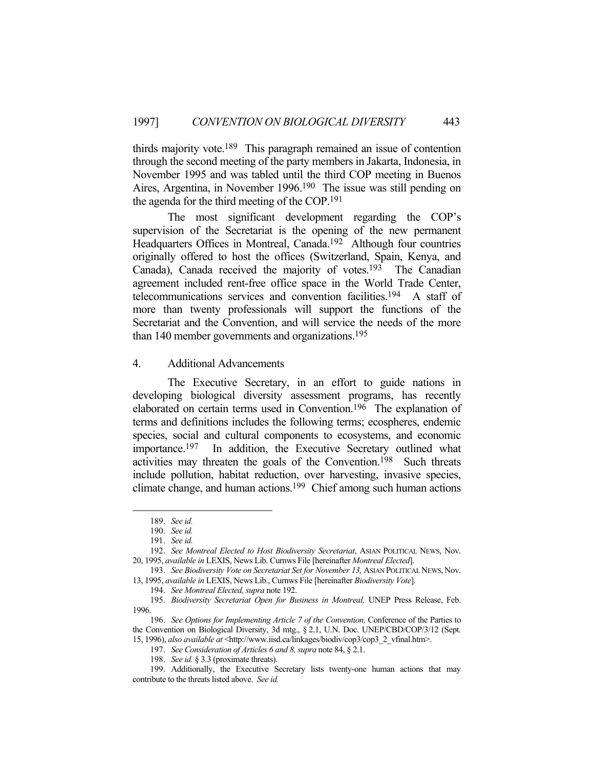thirds majority vote.189 This paragraph remained an issue of contention through the second meeting of the party members in Jakarta, Indonesia, in November 1995 and was tabled until the third COP meeting in Buenos Aires, Argentina, in November 1996.190 The issue was still pending on the agenda for the third meeting of the COP.191

 The most significant development regarding the COP's supervision of the Secretariat is the opening of the new permanent Headquarters Offices in Montreal, Canada.<sup>192</sup> Although four countries originally offered to host the offices (Switzerland, Spain, Kenya, and Canada), Canada received the majority of votes.193 The Canadian agreement included rent-free office space in the World Trade Center, telecommunications services and convention facilities.194 A staff of more than twenty professionals will support the functions of the Secretariat and the Convention, and will service the needs of the more than 140 member governments and organizations.<sup>195</sup>

## 4. Additional Advancements

 The Executive Secretary, in an effort to guide nations in developing biological diversity assessment programs, has recently elaborated on certain terms used in Convention.196 The explanation of terms and definitions includes the following terms; ecospheres, endemic species, social and cultural components to ecosystems, and economic importance.197 In addition, the Executive Secretary outlined what activities may threaten the goals of the Convention.198 Such threats include pollution, habitat reduction, over harvesting, invasive species, climate change, and human actions.199 Chief among such human actions

 <sup>189.</sup> *See id.*

 <sup>190.</sup> *See id.*

 <sup>191.</sup> *See id.*

 <sup>192.</sup> *See Montreal Elected to Host Biodiversity Secretariat*, ASIAN POLITICAL NEWS, Nov. 20, 1995, *available in* LEXIS, News Lib. Curnws File [hereinafter *Montreal Elected*].

<sup>193.</sup> *See Biodiversity Vote on Secretariat Set for November 13*, ASIAN POLITICAL NEWS, Nov. 13, 1995, *available in* LEXIS, News Lib., Curnws File [hereinafter *Biodiversity Vote*].

 <sup>194.</sup> *See Montreal Elected, supra* note 192.

 <sup>195.</sup> *Biodiversity Secretariat Open for Business in Montreal,* UNEP Press Release, Feb. 1996.

 <sup>196.</sup> *See Options for Implementing Article 7 of the Convention,* Conference of the Parties to the Convention on Biological Diversity, 3d mtg., § 2.1, U.N. Doc. UNEP/CBD/COP/3/12 (Sept. 15, 1996), *also available at* <http://www.iisd.ca/linkages/biodiv/cop3/cop3\_2\_vfinal.htm>.

 <sup>197.</sup> *See Consideration of Articles 6 and 8, supra* note 84, § 2.1.

 <sup>198.</sup> *See id.* § 3.3 (proximate threats).

 <sup>199.</sup> Additionally, the Executive Secretary lists twenty-one human actions that may contribute to the threats listed above. *See id.*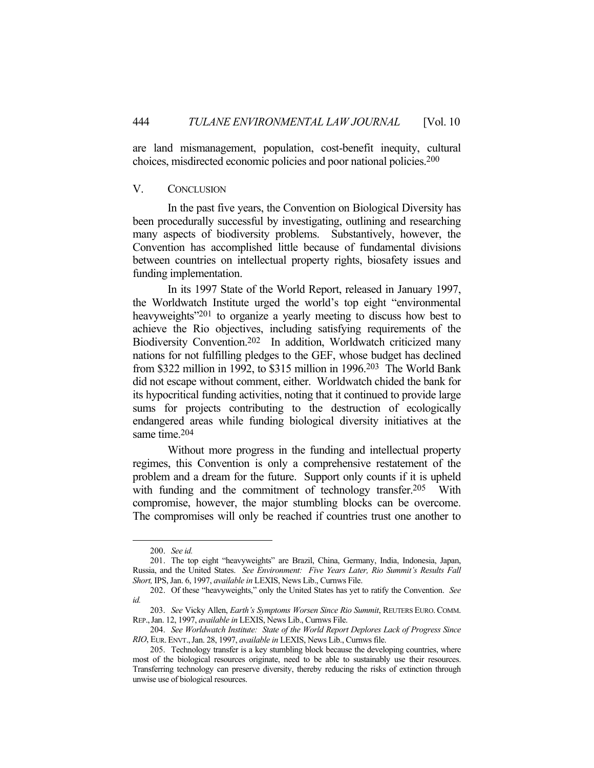are land mismanagement, population, cost-benefit inequity, cultural choices, misdirected economic policies and poor national policies.200

## V. CONCLUSION

 In the past five years, the Convention on Biological Diversity has been procedurally successful by investigating, outlining and researching many aspects of biodiversity problems. Substantively, however, the Convention has accomplished little because of fundamental divisions between countries on intellectual property rights, biosafety issues and funding implementation.

 In its 1997 State of the World Report, released in January 1997, the Worldwatch Institute urged the world's top eight "environmental heavyweights<sup>"201</sup> to organize a yearly meeting to discuss how best to achieve the Rio objectives, including satisfying requirements of the Biodiversity Convention.<sup>202</sup> In addition, Worldwatch criticized many nations for not fulfilling pledges to the GEF, whose budget has declined from \$322 million in 1992, to \$315 million in 1996.203 The World Bank did not escape without comment, either. Worldwatch chided the bank for its hypocritical funding activities, noting that it continued to provide large sums for projects contributing to the destruction of ecologically endangered areas while funding biological diversity initiatives at the same time.204

 Without more progress in the funding and intellectual property regimes, this Convention is only a comprehensive restatement of the problem and a dream for the future. Support only counts if it is upheld with funding and the commitment of technology transfer.<sup>205</sup> With compromise, however, the major stumbling blocks can be overcome. The compromises will only be reached if countries trust one another to

 <sup>200.</sup> *See id.*

 <sup>201.</sup> The top eight "heavyweights" are Brazil, China, Germany, India, Indonesia, Japan, Russia, and the United States. *See Environment: Five Years Later, Rio Summit's Results Fall Short,* IPS, Jan. 6, 1997, *available in* LEXIS, News Lib., Curnws File.

 <sup>202.</sup> Of these "heavyweights," only the United States has yet to ratify the Convention. *See id.*

 <sup>203.</sup> *See* Vicky Allen, *Earth's Symptoms Worsen Since Rio Summit*, REUTERS EURO. COMM. REP.,Jan. 12, 1997, *available in* LEXIS, News Lib., Curnws File.

 <sup>204.</sup> *See Worldwatch Institute: State of the World Report Deplores Lack of Progress Since RIO*, EUR.ENVT.,Jan. 28, 1997, *available in* LEXIS, News Lib., Curnws file.

 <sup>205.</sup> Technology transfer is a key stumbling block because the developing countries, where most of the biological resources originate, need to be able to sustainably use their resources. Transferring technology can preserve diversity, thereby reducing the risks of extinction through unwise use of biological resources.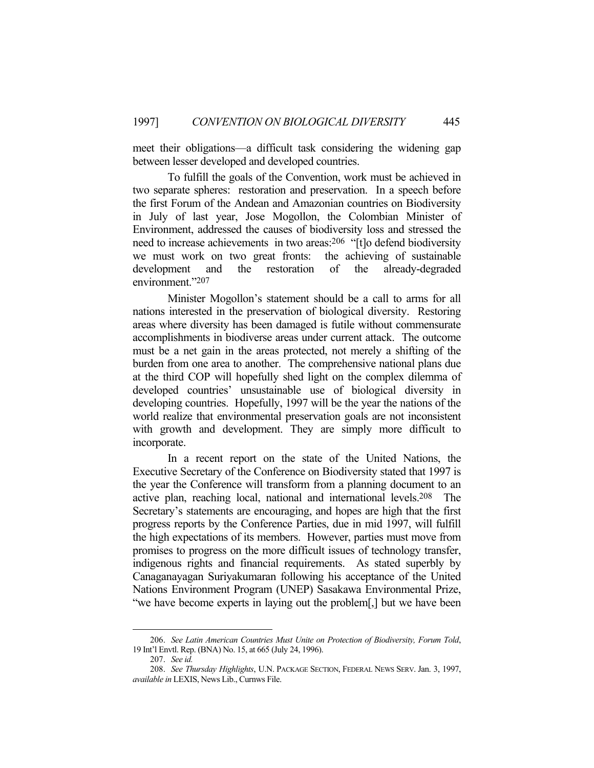meet their obligations—a difficult task considering the widening gap between lesser developed and developed countries.

 To fulfill the goals of the Convention, work must be achieved in two separate spheres: restoration and preservation. In a speech before the first Forum of the Andean and Amazonian countries on Biodiversity in July of last year, Jose Mogollon, the Colombian Minister of Environment, addressed the causes of biodiversity loss and stressed the need to increase achievements in two areas:206 "[t]o defend biodiversity we must work on two great fronts: the achieving of sustainable development and the restoration of the already-degraded environment."207

 Minister Mogollon's statement should be a call to arms for all nations interested in the preservation of biological diversity. Restoring areas where diversity has been damaged is futile without commensurate accomplishments in biodiverse areas under current attack. The outcome must be a net gain in the areas protected, not merely a shifting of the burden from one area to another. The comprehensive national plans due at the third COP will hopefully shed light on the complex dilemma of developed countries' unsustainable use of biological diversity in developing countries. Hopefully, 1997 will be the year the nations of the world realize that environmental preservation goals are not inconsistent with growth and development. They are simply more difficult to incorporate.

 In a recent report on the state of the United Nations, the Executive Secretary of the Conference on Biodiversity stated that 1997 is the year the Conference will transform from a planning document to an active plan, reaching local, national and international levels.208 The Secretary's statements are encouraging, and hopes are high that the first progress reports by the Conference Parties, due in mid 1997, will fulfill the high expectations of its members. However, parties must move from promises to progress on the more difficult issues of technology transfer, indigenous rights and financial requirements. As stated superbly by Canaganayagan Suriyakumaran following his acceptance of the United Nations Environment Program (UNEP) Sasakawa Environmental Prize, "we have become experts in laying out the problem[,] but we have been

 <sup>206.</sup> *See Latin American Countries Must Unite on Protection of Biodiversity, Forum Told*, 19 Int'l Envtl. Rep. (BNA) No. 15, at 665 (July 24, 1996).

 <sup>207.</sup> *See id.*

 <sup>208.</sup> *See Thursday Highlights*, U.N. PACKAGE SECTION, FEDERAL NEWS SERV. Jan. 3, 1997, *available in* LEXIS, News Lib., Curnws File.